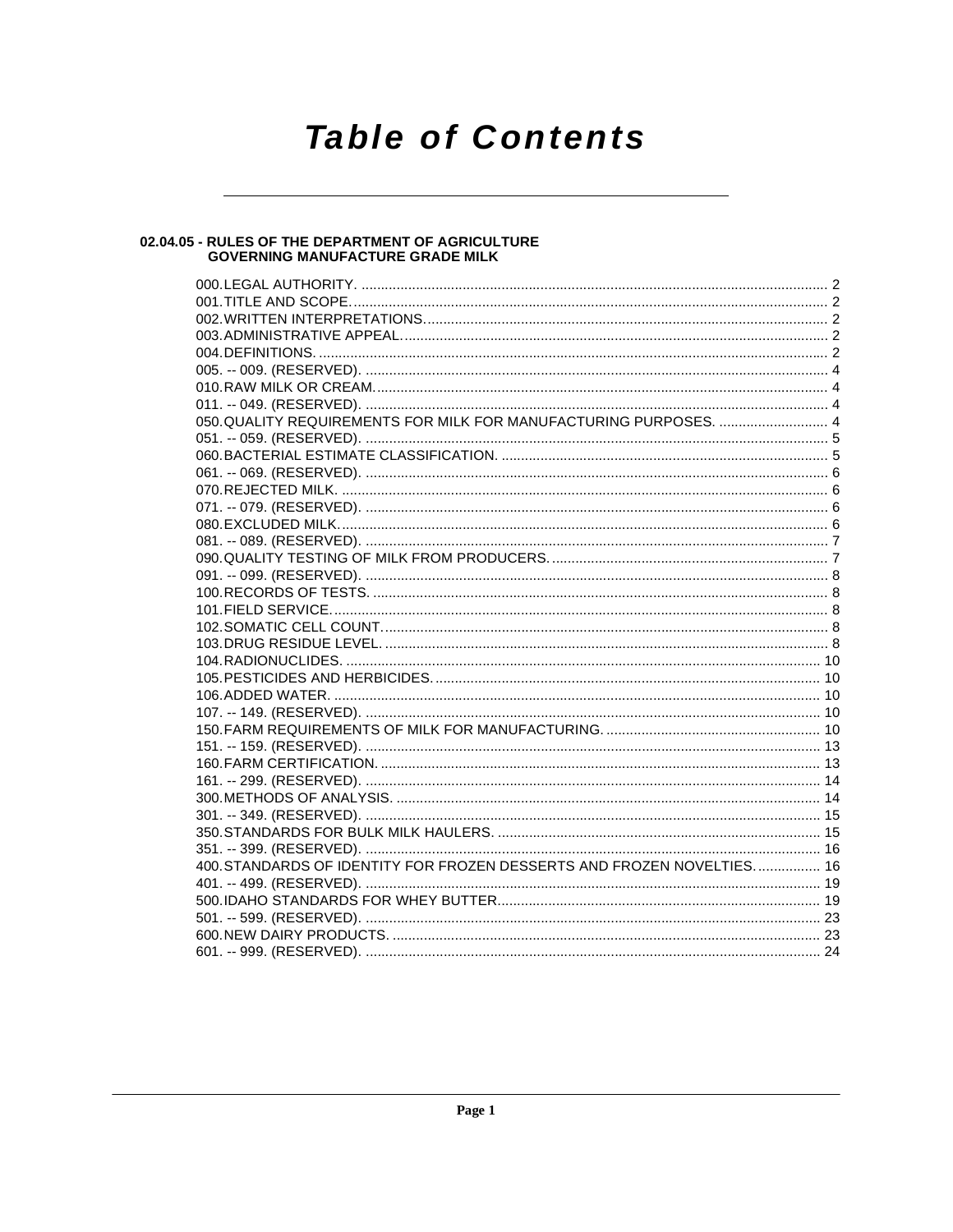# **Table of Contents**

# 02.04.05 - RULES OF THE DEPARTMENT OF AGRICULTURE<br>GOVERNING MANUFACTURE GRADE MILK

| 050.QUALITY REQUIREMENTS FOR MILK FOR MANUFACTURING PURPOSES.  4         |  |
|--------------------------------------------------------------------------|--|
|                                                                          |  |
|                                                                          |  |
|                                                                          |  |
|                                                                          |  |
|                                                                          |  |
|                                                                          |  |
|                                                                          |  |
|                                                                          |  |
|                                                                          |  |
|                                                                          |  |
|                                                                          |  |
|                                                                          |  |
|                                                                          |  |
|                                                                          |  |
|                                                                          |  |
|                                                                          |  |
|                                                                          |  |
|                                                                          |  |
|                                                                          |  |
|                                                                          |  |
|                                                                          |  |
|                                                                          |  |
|                                                                          |  |
|                                                                          |  |
|                                                                          |  |
| 400. STANDARDS OF IDENTITY FOR FROZEN DESSERTS AND FROZEN NOVELTIES.  16 |  |
|                                                                          |  |
|                                                                          |  |
|                                                                          |  |
|                                                                          |  |
|                                                                          |  |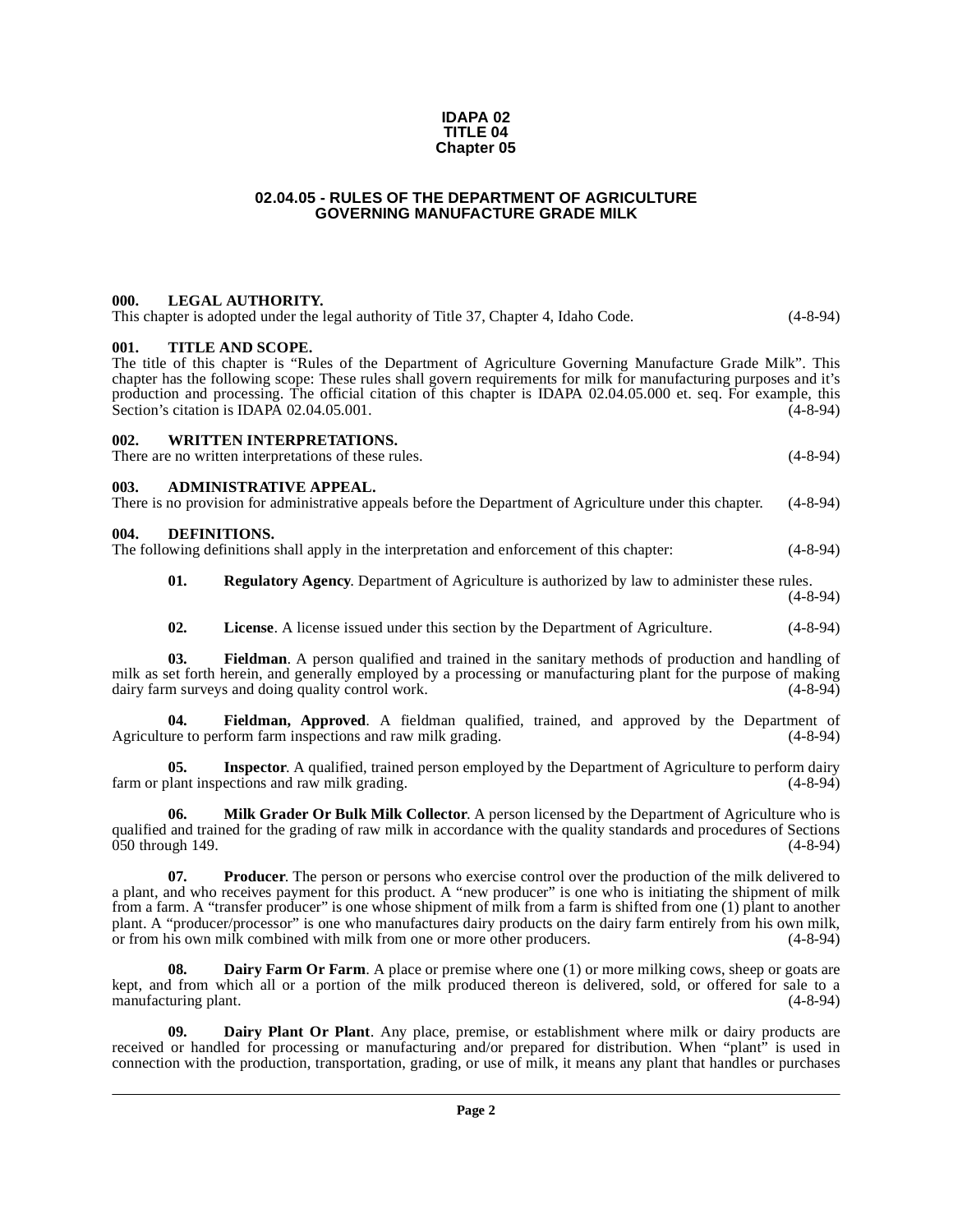#### **IDAPA 02 TITLE 04 Chapter 05**

#### **02.04.05 - RULES OF THE DEPARTMENT OF AGRICULTURE GOVERNING MANUFACTURE GRADE MILK**

#### <span id="page-1-1"></span><span id="page-1-0"></span>**000. LEGAL AUTHORITY.**

This chapter is adopted under the legal authority of Title 37, Chapter 4, Idaho Code. (4-8-94)

#### <span id="page-1-2"></span>**001. TITLE AND SCOPE.**

The title of this chapter is "Rules of the Department of Agriculture Governing Manufacture Grade Milk". This chapter has the following scope: These rules shall govern requirements for milk for manufacturing purposes and it's production and processing. The official citation of this chapter is IDAPA 02.04.05.000 et. seq. For example, this Section's citation is IDAPA 02.04.05.001. (4-8-94)

#### <span id="page-1-3"></span>**002. WRITTEN INTERPRETATIONS.**

There are no written interpretations of these rules. (4-8-94)

#### <span id="page-1-4"></span>**003. ADMINISTRATIVE APPEAL.**

There is no provision for administrative appeals before the Department of Agriculture under this chapter. (4-8-94)

#### <span id="page-1-8"></span><span id="page-1-5"></span>**004. DEFINITIONS.**

The following definitions shall apply in the interpretation and enforcement of this chapter: (4-8-94)

<span id="page-1-15"></span>**01. Regulatory Agency**. Department of Agriculture is authorized by law to administer these rules.

(4-8-94)

<span id="page-1-12"></span><span id="page-1-10"></span><span id="page-1-9"></span>**02.** License. A license issued under this section by the Department of Agriculture. (4-8-94)

**03. Fieldman**. A person qualified and trained in the sanitary methods of production and handling of milk as set forth herein, and generally employed by a processing or manufacturing plant for the purpose of making dairy farm surveys and doing quality control work. (4-8-94)

**04. Fieldman, Approved**. A fieldman qualified, trained, and approved by the Department of Agriculture to perform farm inspections and raw milk grading. (4-8-94)

<span id="page-1-11"></span>**05.** Inspector. A qualified, trained person employed by the Department of Agriculture to perform dairy farm or plant inspections and raw milk grading. (4-8-94)

<span id="page-1-13"></span>**06. Milk Grader Or Bulk Milk Collector**. A person licensed by the Department of Agriculture who is qualified and trained for the grading of raw milk in accordance with the quality standards and procedures of Sections 050 through 149.  $050$  through 149.

<span id="page-1-14"></span>**07.** Producer. The person or persons who exercise control over the production of the milk delivered to a plant, and who receives payment for this product. A "new producer" is one who is initiating the shipment of milk from a farm. A "transfer producer" is one whose shipment of milk from a farm is shifted from one (1) plant to another plant. A "producer/processor" is one who manufactures dairy products on the dairy farm entirely from his own milk, or from his own milk combined with milk from one or more other producers. (4-8-94)

<span id="page-1-6"></span>**08.** Dairy Farm Or Farm. A place or premise where one (1) or more milking cows, sheep or goats are kept, and from which all or a portion of the milk produced thereon is delivered, sold, or offered for sale to a manufacturing plant. (4-8-94)

<span id="page-1-7"></span>**09. Dairy Plant Or Plant**. Any place, premise, or establishment where milk or dairy products are received or handled for processing or manufacturing and/or prepared for distribution. When "plant" is used in connection with the production, transportation, grading, or use of milk, it means any plant that handles or purchases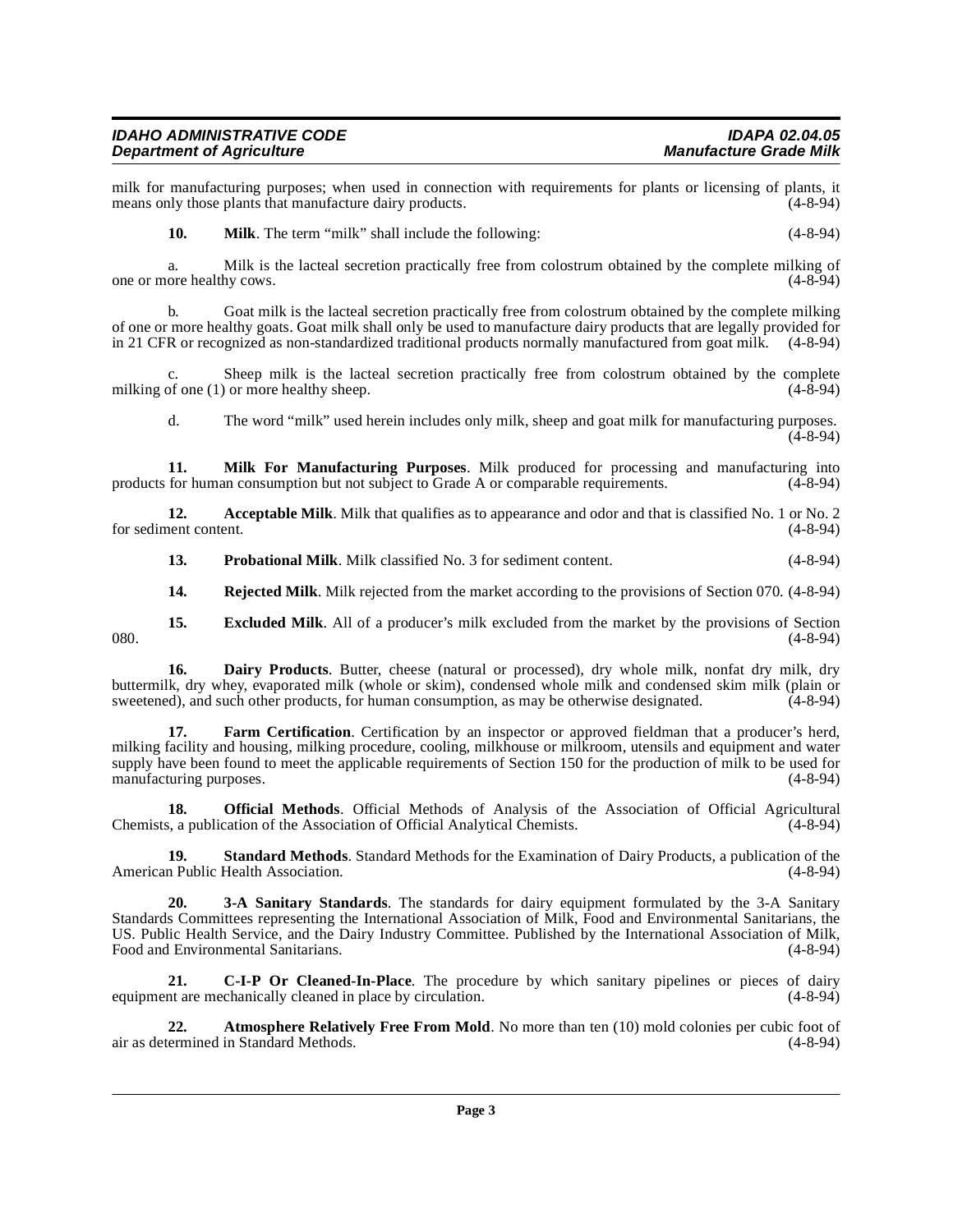milk for manufacturing purposes; when used in connection with requirements for plants or licensing of plants, it<br>means only those plants that manufacture dairy products. means only those plants that manufacture dairy products.

<span id="page-2-5"></span>**10. Milk**. The term "milk" shall include the following: (4-8-94)

a. Milk is the lacteal secretion practically free from colostrum obtained by the complete milking of ore healthy cows. (4-8-94) one or more healthy cows.

b. Goat milk is the lacteal secretion practically free from colostrum obtained by the complete milking [of one or more healthy goats. Goat milk shall only be used to manufacture dairy products that are legally provided for](http://www.access.gpo.gov/cgi-bin/cfrassemble.cgi?title=200021) in 21 CFR or recognized as non-standardized traditional products normally manufactured from goat milk. (4-8-94)

c. Sheep milk is the lacteal secretion practically free from colostrum obtained by the complete milking of one (1) or more healthy sheep.  $(4-8-94)$ 

<span id="page-2-6"></span>d. The word "milk" used herein includes only milk, sheep and goat milk for manufacturing purposes.  $(4 - 8 - 94)$ 

**11. Milk For Manufacturing Purposes**. Milk produced for processing and manufacturing into for human consumption but not subject to Grade A or comparable requirements. (4-8-94) products for human consumption but not subject to Grade A or comparable requirements.

**12. Acceptable Milk**. Milk that qualifies as to appearance and odor and that is classified No. 1 or No. 2 for sediment content.

<span id="page-2-8"></span><span id="page-2-1"></span>**13. Probational Milk**. Milk classified No. 3 for sediment content. (4-8-94)

<span id="page-2-9"></span><span id="page-2-4"></span>**14. Rejected Milk**. Milk rejected from the market according to the provisions of Section 070. (4-8-94)

**15. Excluded Milk**. All of a producer's milk excluded from the market by the provisions of Section (4-8-94)  $080.$  (4-8-94)

**16. Dairy Products**. Butter, cheese (natural or processed), dry whole milk, nonfat dry milk, dry buttermilk, dry whey, evaporated milk (whole or skim), condensed whole milk and condensed skim milk (plain or sweetened), and such other products, for human consumption, as may be otherwise designated.  $(4-8-94)$ 

**17. Farm Certification**. Certification by an inspector or approved fieldman that a producer's herd, milking facility and housing, milking procedure, cooling, milkhouse or milkroom, utensils and equipment and water supply have been found to meet the applicable requirements of Section 150 for the production of milk to be used for manufacturing purposes. (4-8-94)

<span id="page-2-7"></span>**18. Official Methods**. Official Methods of Analysis of the Association of Official Agricultural Chemists, a publication of the Association of Official Analytical Chemists. (4-8-94)

<span id="page-2-10"></span>**19. Standard Methods**. Standard Methods for the Examination of Dairy Products, a publication of the neublic Health Association. (4-8-94) American Public Health Association.

<span id="page-2-0"></span>**20. 3-A Sanitary Standards**. The standards for dairy equipment formulated by the 3-A Sanitary Standards Committees representing the International Association of Milk, Food and Environmental Sanitarians, the US. Public Health Service, and the Dairy Industry Committee. Published by the International Association of Milk, Food and Environmental Sanitarians.

<span id="page-2-3"></span>**21. C-I-P Or Cleaned-In-Place**. The procedure by which sanitary pipelines or pieces of dairy equipment are mechanically cleaned in place by circulation. (4-8-94)

<span id="page-2-2"></span>**22. Atmosphere Relatively Free From Mold**. No more than ten (10) mold colonies per cubic foot of ermined in Standard Methods. (4-8-94) air as determined in Standard Methods.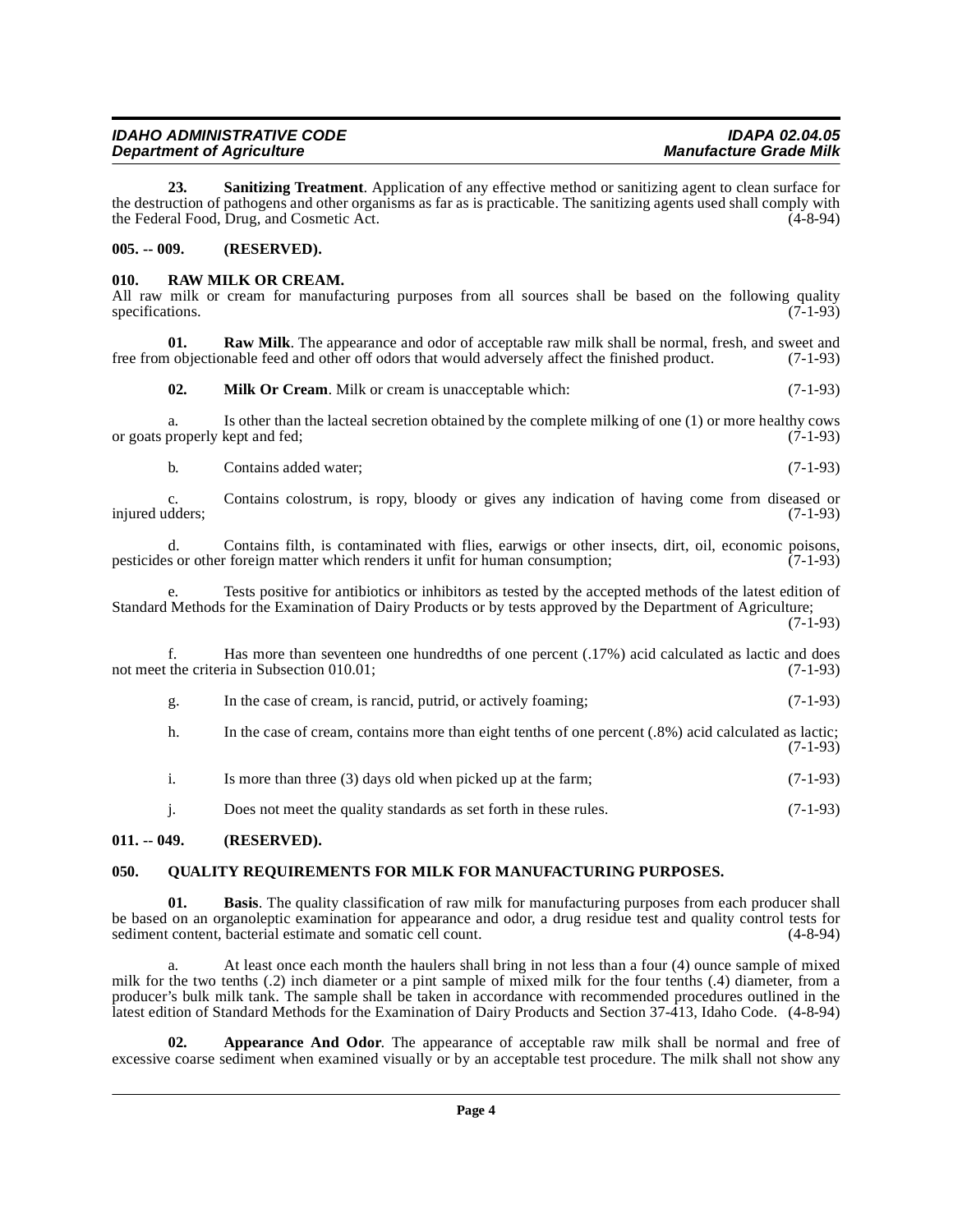| <b>IDAHO ADMINISTRATIVE CODE</b> | <b>IDAPA 02.04.05</b>         |
|----------------------------------|-------------------------------|
| <b>Department of Agriculture</b> | <b>Manufacture Grade Milk</b> |

<span id="page-3-10"></span>**23. Sanitizing Treatment**. Application of any effective method or sanitizing agent to clean surface for the destruction of pathogens and other organisms as far as is practicable. The sanitizing agents used shall comply with the Federal Food, Drug, and Cosmetic Act. the Federal Food, Drug, and Cosmetic Act.

#### <span id="page-3-0"></span>**005. -- 009. (RESERVED).**

#### <span id="page-3-9"></span><span id="page-3-1"></span>**010. RAW MILK OR CREAM.**

All raw milk or cream for manufacturing purposes from all sources shall be based on the following quality specifications. (7-1-93) specifications.  $(7-1-93)$ 

**01. Raw Milk**. The appearance and odor of acceptable raw milk shall be normal, fresh, and sweet and objectionable feed and other off odors that would adversely affect the finished product. (7-1-93) free from objectionable feed and other off odors that would adversely affect the finished product.

<span id="page-3-8"></span><span id="page-3-6"></span>**02. Milk Or Cream**. Milk or cream is unacceptable which: (7-1-93)

a. Is other than the lacteal secretion obtained by the complete milking of one (1) or more healthy cows properly kept and fed: (7-1-93) or goats properly kept and fed;

b. Contains added water; (7-1-93)

c. Contains colostrum, is ropy, bloody or gives any indication of having come from diseased or (7-1-93) injured udders;

d. Contains filth, is contaminated with flies, earwigs or other insects, dirt, oil, economic poisons, pesticides or other foreign matter which renders it unfit for human consumption; (7-1-93)

Tests positive for antibiotics or inhibitors as tested by the accepted methods of the latest edition of Standard Methods for the Examination of Dairy Products or by tests approved by the Department of Agriculture;

(7-1-93)

f. Has more than seventeen one hundredths of one percent (.17%) acid calculated as lactic and does not meet the criteria in Subsection 010.01; (7-1-93)

g. In the case of cream, is rancid, putrid, or actively foaming; (7-1-93)

h. In the case of cream, contains more than eight tenths of one percent (.8%) acid calculated as lactic; (7-1-93)

i. Is more than three (3) days old when picked up at the farm; (7-1-93)

<span id="page-3-7"></span><span id="page-3-5"></span>j. Does not meet the quality standards as set forth in these rules. (7-1-93)

#### <span id="page-3-2"></span>**011. -- 049. (RESERVED).**

#### <span id="page-3-3"></span>**050. QUALITY REQUIREMENTS FOR MILK FOR MANUFACTURING PURPOSES.**

**Basis**. The quality classification of raw milk for manufacturing purposes from each producer shall be based on an organoleptic examination for appearance and odor, a drug residue test and quality control tests for sediment content, bacterial estimate and somatic cell count. (4-8-94) sediment content, bacterial estimate and somatic cell count.

a. At least once each month the haulers shall bring in not less than a four (4) ounce sample of mixed milk for the two tenths (.2) inch diameter or a pint sample of mixed milk for the four tenths (.4) diameter, from a producer's bulk milk tank. The sample shall be taken in accordance with recommended procedures outlined in the latest edition of Standard Methods for the Examination of Dairy Products and Section 37-413, Idaho Code. (4-8-94)

<span id="page-3-4"></span>**02. Appearance And Odor**. The appearance of acceptable raw milk shall be normal and free of excessive coarse sediment when examined visually or by an acceptable test procedure. The milk shall not show any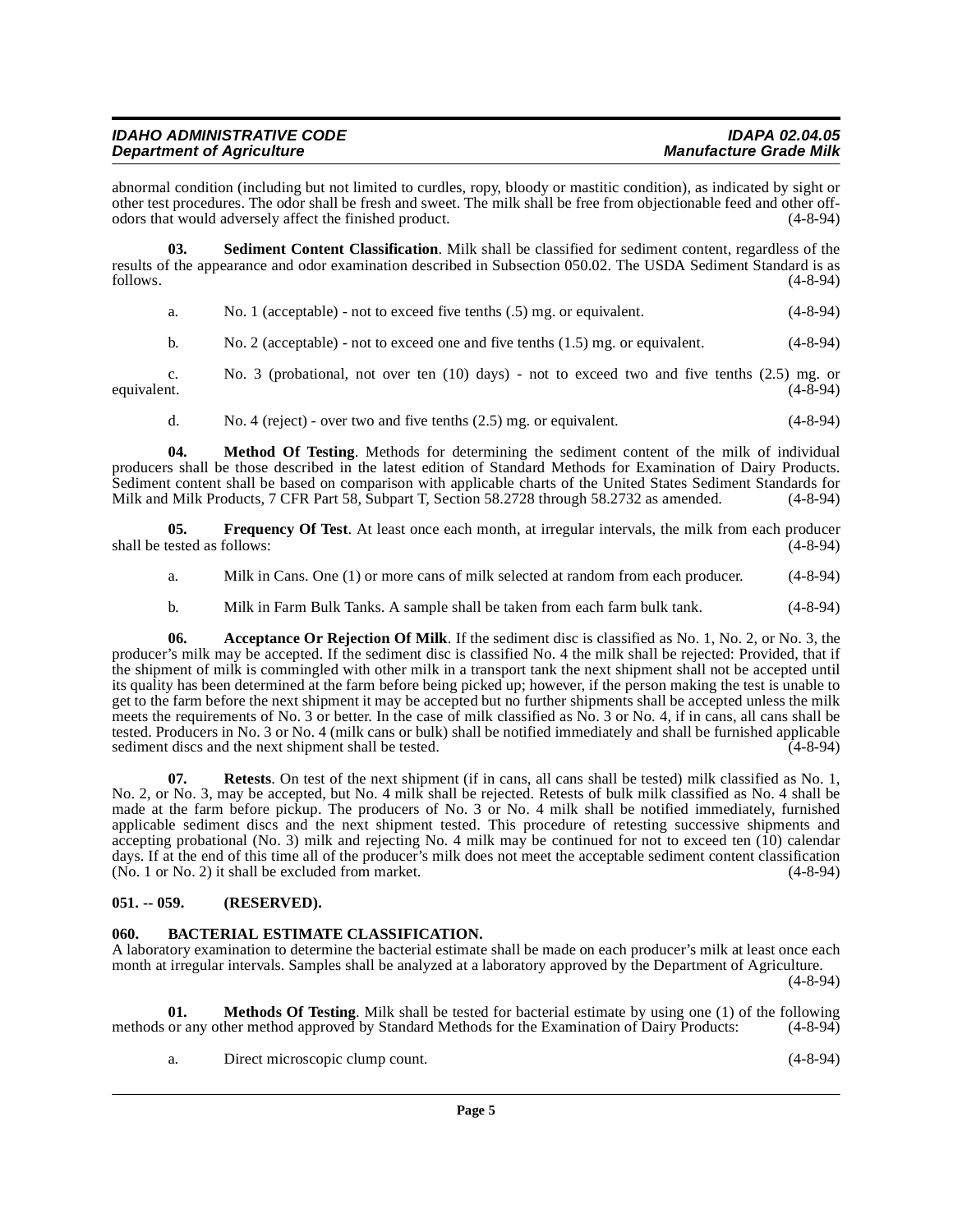#### **IDAHO ADMINISTRATIVE CODE IDAPA 02.04.05 Department of Agriculture**

abnormal condition (including but not limited to curdles, ropy, bloody or mastitic condition), as indicated by sight or other test procedures. The odor shall be fresh and sweet. The milk shall be free from objectionable feed and other offodors that would adversely affect the finished product.

**03. Sediment Content Classification**. Milk shall be classified for sediment content, regardless of the results of the appearance and odor examination described in Subsection 050.02. The USDA Sediment Standard is as follows.  $(4-8-94)$ 

<span id="page-4-8"></span>

| a. |  | No. 1 (acceptable) - not to exceed five tenths $(0.5)$ mg. or equivalent. | $(4-8-94)$ |
|----|--|---------------------------------------------------------------------------|------------|
|----|--|---------------------------------------------------------------------------|------------|

b. No. 2 (acceptable) - not to exceed one and five tenths (1.5) mg. or equivalent. (4-8-94)

c. No. 3 (probational, not over ten (10) days) - not to exceed two and five tenths (2.5) mg. or equivalent. (4-8-94)

<span id="page-4-5"></span>d. No. 4 (reject) - over two and five tenths (2.5) mg. or equivalent. (4-8-94)

**04. Method Of Testing**[. Methods for determining the sediment content of the milk of individual](http://www.access.gpo.gov/nara/cfr/waisidx_01/7cfrv3_01.html) producers shall be those described in the latest edition of Standard Methods for Examination of Dairy Products. [Sediment content shall be based on comparison with applicable charts of the United States Sediment Standards for](http://www.access.gpo.gov/nara/cfr/waisidx_01/7cfrv3_01.html) Milk and Milk Products, 7 CFR Part 58, Subpart T, Section 58.2728 through 58.2732 as amended. (4-8-94)

**05. Frequency Of Test**. At least once each month, at irregular intervals, the milk from each producer tested as follows: (4-8-94) shall be tested as follows:

<span id="page-4-4"></span>a. Milk in Cans. One (1) or more cans of milk selected at random from each producer. (4-8-94)

<span id="page-4-2"></span>b. Milk in Farm Bulk Tanks. A sample shall be taken from each farm bulk tank. (4-8-94)

**06. Acceptance Or Rejection Of Milk**. If the sediment disc is classified as No. 1, No. 2, or No. 3, the producer's milk may be accepted. If the sediment disc is classified No. 4 the milk shall be rejected: Provided, that if the shipment of milk is commingled with other milk in a transport tank the next shipment shall not be accepted until its quality has been determined at the farm before being picked up; however, if the person making the test is unable to get to the farm before the next shipment it may be accepted but no further shipments shall be accepted unless the milk meets the requirements of No. 3 or better. In the case of milk classified as No. 3 or No. 4, if in cans, all cans shall be tested. Producers in No. 3 or No. 4 (milk cans or bulk) shall be notified immediately and shall be furnished applicable sediment discs and the next shipment shall be tested. (4-8-94)

<span id="page-4-7"></span>**07. Retests**. On test of the next shipment (if in cans, all cans shall be tested) milk classified as No. 1, No. 2, or No. 3, may be accepted, but No. 4 milk shall be rejected. Retests of bulk milk classified as No. 4 shall be made at the farm before pickup. The producers of No. 3 or No. 4 milk shall be notified immediately, furnished applicable sediment discs and the next shipment tested. This procedure of retesting successive shipments and accepting probational (No. 3) milk and rejecting No. 4 milk may be continued for not to exceed ten (10) calendar days. If at the end of this time all of the producer's milk does not meet the acceptable sediment content classification (No. 1 or No. 2) it shall be excluded from market. (4-8-94)  $(No. 1 or No. 2)$  it shall be excluded from market.

#### <span id="page-4-0"></span>**051. -- 059. (RESERVED).**

#### <span id="page-4-3"></span><span id="page-4-1"></span>**060. BACTERIAL ESTIMATE CLASSIFICATION.**

A laboratory examination to determine the bacterial estimate shall be made on each producer's milk at least once each month at irregular intervals. Samples shall be analyzed at a laboratory approved by the Department of Agriculture.

(4-8-94)

**01. Methods Of Testing**. Milk shall be tested for bacterial estimate by using one (1) of the following or any other method approved by Standard Methods for the Examination of Dairy Products:  $(4-8-94)$ methods or any other method approved by Standard Methods for the Examination of Dairy Products:

<span id="page-4-6"></span>a. Direct microscopic clump count. (4-8-94)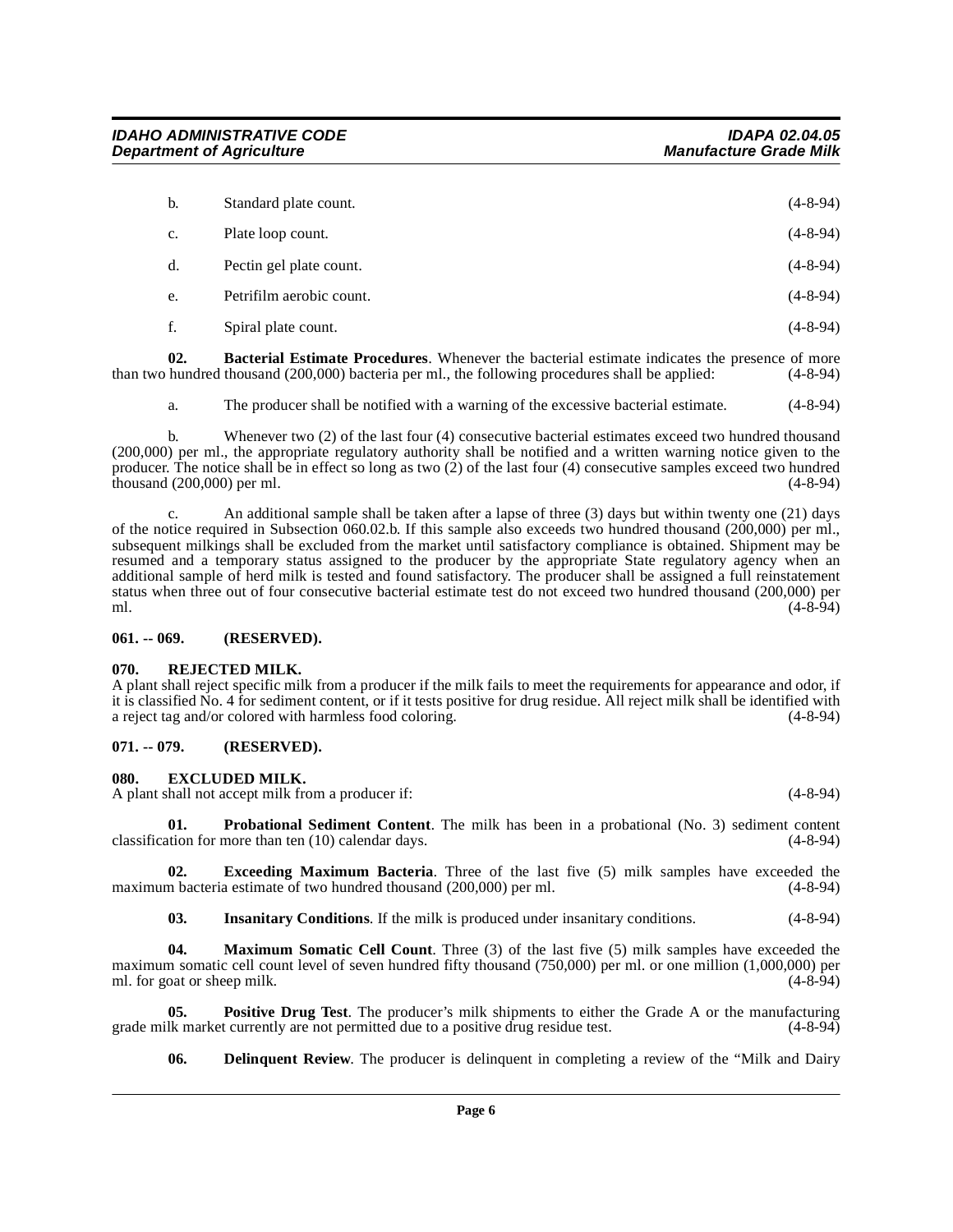| b. | Standard plate count.    | $(4-8-94)$     |
|----|--------------------------|----------------|
| c. | Plate loop count.        | $(4-8-94)$     |
| d. | Pectin gel plate count.  | $(4-8-94)$     |
| e. | Petrifilm aerobic count. | $(4-8-94)$     |
|    | Spiral plate count.      | $(4 - 8 - 94)$ |

**02. Bacterial Estimate Procedures**. Whenever the bacterial estimate indicates the presence of more hundred thousand (200,000) bacteria per ml., the following procedures shall be applied: (4-8-94) than two hundred thousand (200,000) bacteria per ml., the following procedures shall be applied:

<span id="page-5-4"></span>a. The producer shall be notified with a warning of the excessive bacterial estimate. (4-8-94)

b. Whenever two (2) of the last four (4) consecutive bacterial estimates exceed two hundred thousand (200,000) per ml., the appropriate regulatory authority shall be notified and a written warning notice given to the producer. The notice shall be in effect so long as two (2) of the last four (4) consecutive samples exceed two hundred  $\frac{1}{2}$  thousand (200,000) per ml. (4-8-94)

c. An additional sample shall be taken after a lapse of three (3) days but within twenty one (21) days of the notice required in Subsection 060.02.b. If this sample also exceeds two hundred thousand (200,000) per ml., subsequent milkings shall be excluded from the market until satisfactory compliance is obtained. Shipment may be resumed and a temporary status assigned to the producer by the appropriate State regulatory agency when an additional sample of herd milk is tested and found satisfactory. The producer shall be assigned a full reinstatement status when three out of four consecutive bacterial estimate test do not exceed two hundred thousand (200,000) per ml. (4-8-94) ml. (4-8-94)

#### <span id="page-5-0"></span>**061. -- 069. (RESERVED).**

#### <span id="page-5-1"></span>**070. REJECTED MILK.**

A plant shall reject specific milk from a producer if the milk fails to meet the requirements for appearance and odor, if it is classified No. 4 for sediment content, or if it tests positive for drug residue. All reject milk shall be identified with a reject tag and/or colored with harmless food coloring.

#### <span id="page-5-2"></span>**071. -- 079. (RESERVED).**

#### <span id="page-5-7"></span><span id="page-5-3"></span>**080. EXCLUDED MILK.**

A plant shall not accept milk from a producer if: (4-8-94)

<span id="page-5-11"></span>**01. Probational Sediment Content**. The milk has been in a probational (No. 3) sediment content classification for more than ten (10) calendar days. (4-8-94)

**02.** Exceeding Maximum Bacteria. Three of the last five (5) milk samples have exceeded the m bacteria estimate of two hundred thousand (200,000) per ml. (4-8-94) maximum bacteria estimate of two hundred thousand  $(200,000)$  per ml.

<span id="page-5-9"></span><span id="page-5-8"></span><span id="page-5-6"></span>**03.** Insanitary Conditions. If the milk is produced under insanitary conditions. (4-8-94)

Maximum Somatic Cell Count. Three (3) of the last five (5) milk samples have exceeded the maximum somatic cell count level of seven hundred fifty thousand (750,000) per ml. or one million (1,000,000) per ml. for goat or sheep milk. (4-8-94)

**05. Positive Drug Test**. The producer's milk shipments to either the Grade A or the manufacturing lk market currently are not permitted due to a positive drug residue test. (4-8-94) grade milk market currently are not permitted due to a positive drug residue test.

<span id="page-5-10"></span><span id="page-5-5"></span>**06. Delinquent Review**. The producer is delinquent in completing a review of the "Milk and Dairy"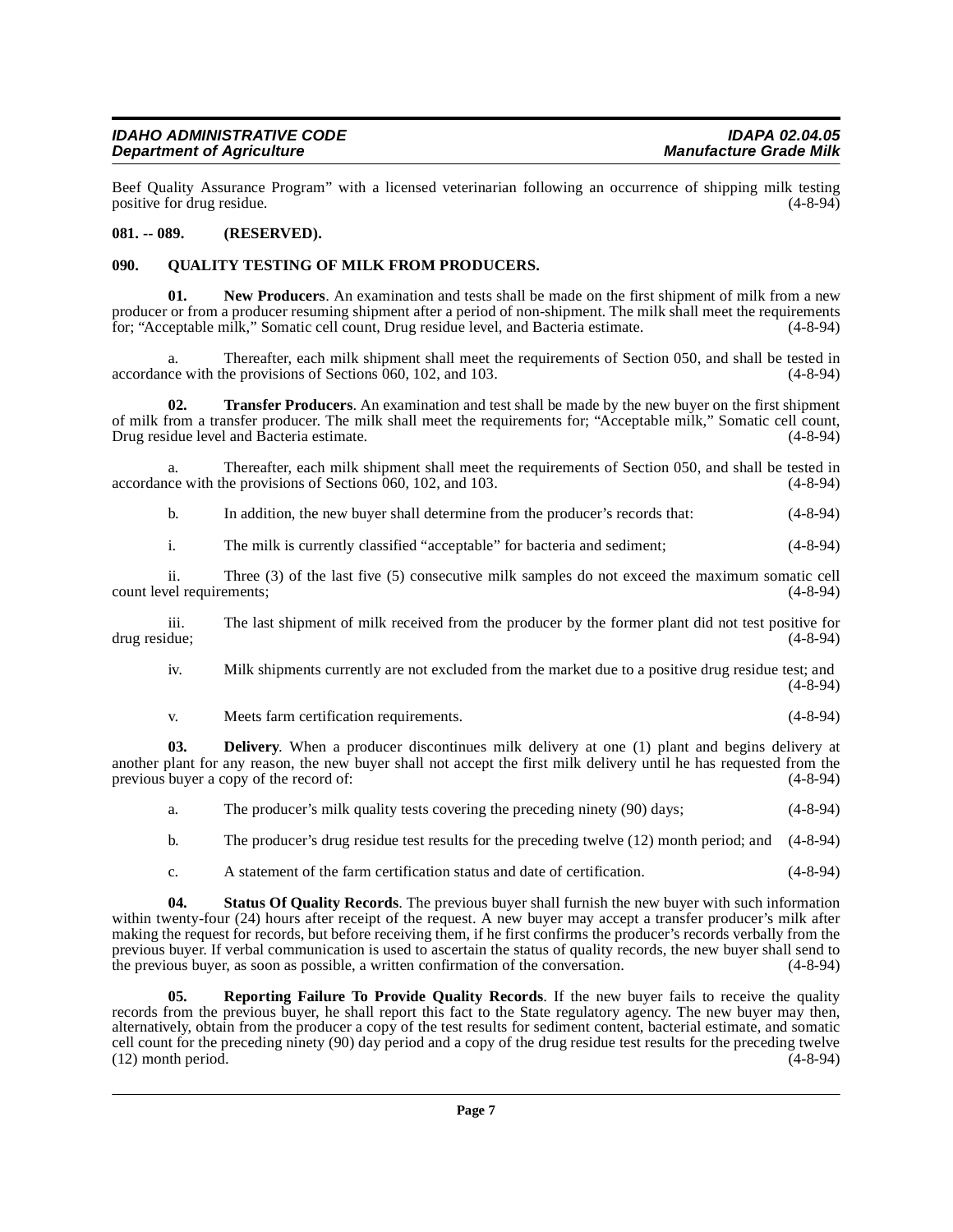Beef Quality Assurance Program" with a licensed veterinarian following an occurrence of shipping milk testing positive for drug residue. (4-8-94) positive for drug residue.

#### <span id="page-6-0"></span>**081. -- 089. (RESERVED).**

#### <span id="page-6-4"></span><span id="page-6-1"></span>**090. QUALITY TESTING OF MILK FROM PRODUCERS.**

<span id="page-6-3"></span>**01. New Producers**. An examination and tests shall be made on the first shipment of milk from a new producer or from a producer resuming shipment after a period of non-shipment. The milk shall meet the requirements for; "Acceptable milk," Somatic cell count, Drug residue level, and Bacteria estimate. (4-8-94)

a. Thereafter, each milk shipment shall meet the requirements of Section 050, and shall be tested in ce with the provisions of Sections 060, 102, and 103. (4-8-94) accordance with the provisions of Sections  $\overline{060}$ , 102, and 103.

<span id="page-6-7"></span>**02. Transfer Producers**. An examination and test shall be made by the new buyer on the first shipment of milk from a transfer producer. The milk shall meet the requirements for; "Acceptable milk," Somatic cell count,<br>Drug residue level and Bacteria estimate. (4-8-94) Drug residue level and Bacteria estimate.

a. Thereafter, each milk shipment shall meet the requirements of Section 050, and shall be tested in accordance with the provisions of Sections 060, 102, and 103. (4-8-94)

b. In addition, the new buyer shall determine from the producer's records that: (4-8-94)

i. The milk is currently classified "acceptable" for bacteria and sediment; (4-8-94)

ii. Three (3) of the last five (5) consecutive milk samples do not exceed the maximum somatic cell count level requirements;

iii. The last shipment of milk received from the producer by the former plant did not test positive for due; (4-8-94) drug residue;

iv. Milk shipments currently are not excluded from the market due to a positive drug residue test; and (4-8-94)

<span id="page-6-2"></span>v. Meets farm certification requirements. (4-8-94)

**03. Delivery**. When a producer discontinues milk delivery at one (1) plant and begins delivery at another plant for any reason, the new buyer shall not accept the first milk delivery until he has requested from the previous buyer a copy of the record of: (4-8-94)

a. The producer's milk quality tests covering the preceding ninety (90) days; (4-8-94)

b. The producer's drug residue test results for the preceding twelve (12) month period; and (4-8-94)

<span id="page-6-6"></span>c. A statement of the farm certification status and date of certification. (4-8-94)

**04. Status Of Quality Records**. The previous buyer shall furnish the new buyer with such information within twenty-four (24) hours after receipt of the request. A new buyer may accept a transfer producer's milk after making the request for records, but before receiving them, if he first confirms the producer's records verbally from the previous buyer. If verbal communication is used to ascertain the status of quality records, the new buyer shall send to the previous buyer, as soon as possible, a written confirmation of the conversation. (4-8-94) the previous buyer, as soon as possible, a written confirmation of the conversation.

<span id="page-6-5"></span>**05.** Reporting Failure To Provide Quality Records. If the new buyer fails to receive the quality records from the previous buyer, he shall report this fact to the State regulatory agency. The new buyer may then, alternatively, obtain from the producer a copy of the test results for sediment content, bacterial estimate, and somatic cell count for the preceding ninety (90) day period and a copy of the drug residue test results for the preceding twelve (12) month period. (4-8-94)  $(12)$  month period.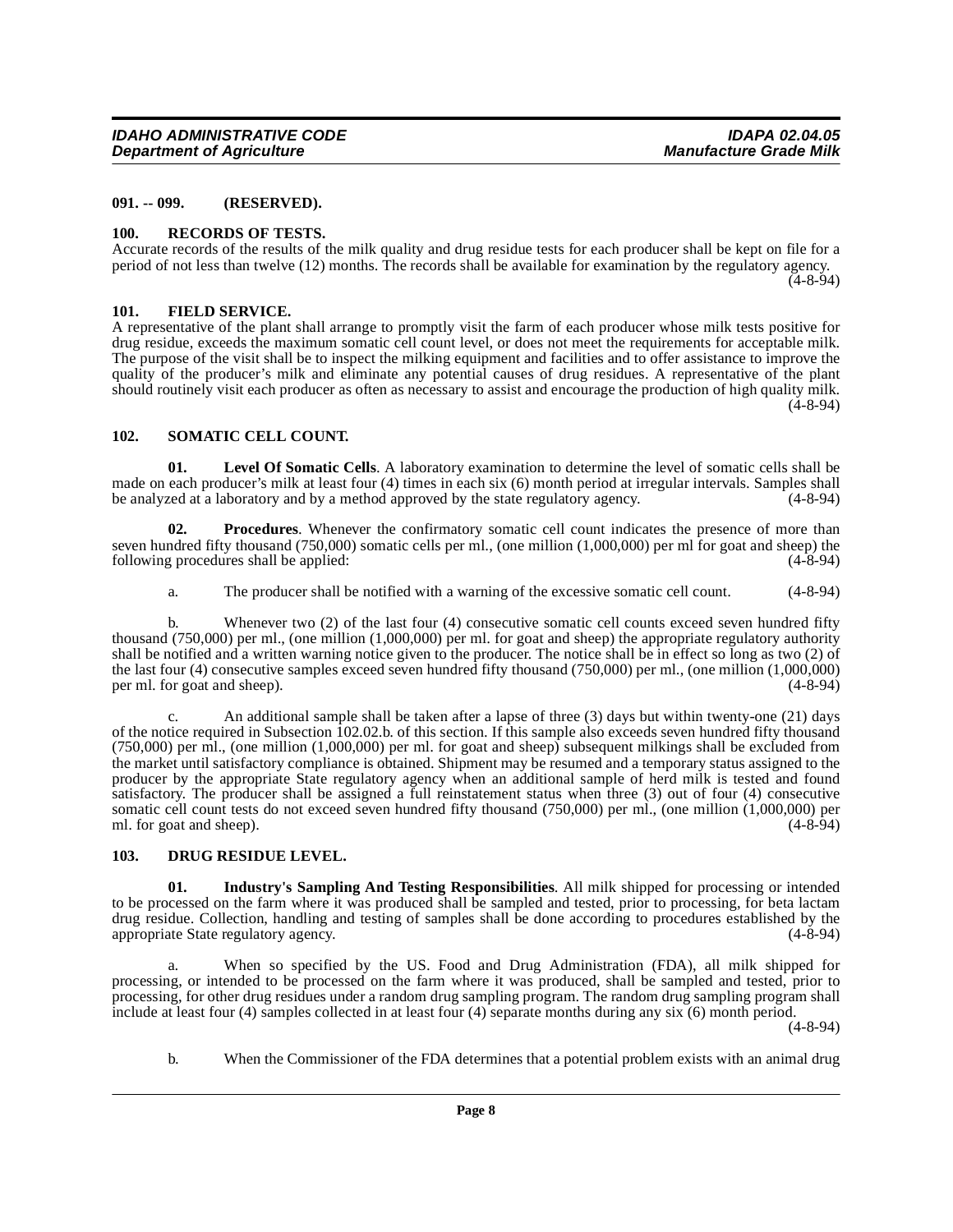#### <span id="page-7-0"></span>**091. -- 099. (RESERVED).**

#### <span id="page-7-10"></span><span id="page-7-1"></span>**100. RECORDS OF TESTS.**

Accurate records of the results of the milk quality and drug residue tests for each producer shall be kept on file for a period of not less than twelve (12) months. The records shall be available for examination by the regulatory agency.  $(4 - 8 - 94)$ 

#### <span id="page-7-6"></span><span id="page-7-2"></span>**101. FIELD SERVICE.**

A representative of the plant shall arrange to promptly visit the farm of each producer whose milk tests positive for drug residue, exceeds the maximum somatic cell count level, or does not meet the requirements for acceptable milk. The purpose of the visit shall be to inspect the milking equipment and facilities and to offer assistance to improve the quality of the producer's milk and eliminate any potential causes of drug residues. A representative of the plant should routinely visit each producer as often as necessary to assist and encourage the production of high quality milk.  $(4 - 8 - 94)$ 

#### <span id="page-7-11"></span><span id="page-7-3"></span>**102. SOMATIC CELL COUNT.**

<span id="page-7-8"></span>**01. Level Of Somatic Cells**. A laboratory examination to determine the level of somatic cells shall be made on each producer's milk at least four (4) times in each six (6) month period at irregular intervals. Samples shall<br>be analyzed at a laboratory and by a method approved by the state regulatory agency. (4-8-94) be analyzed at a laboratory and by a method approved by the state regulatory agency.

**02. Procedures**. Whenever the confirmatory somatic cell count indicates the presence of more than seven hundred fifty thousand (750,000) somatic cells per ml., (one million (1,000,000) per ml for goat and sheep) the following procedures shall be applied: (4-8-94) following procedures shall be applied:

<span id="page-7-9"></span>a. The producer shall be notified with a warning of the excessive somatic cell count. (4-8-94)

b. Whenever two (2) of the last four (4) consecutive somatic cell counts exceed seven hundred fifty thousand (750,000) per ml., (one million (1,000,000) per ml. for goat and sheep) the appropriate regulatory authority shall be notified and a written warning notice given to the producer. The notice shall be in effect so long as two (2) of the last four (4) consecutive samples exceed seven hundred fifty thousand (750,000) per ml., (one million (1,000,000) per ml. for goat and sheep).  $(4-8-94)$ per ml. for goat and sheep).

c. An additional sample shall be taken after a lapse of three (3) days but within twenty-one (21) days of the notice required in Subsection 102.02.b. of this section. If this sample also exceeds seven hundred fifty thousand (750,000) per ml., (one million (1,000,000) per ml. for goat and sheep) subsequent milkings shall be excluded from the market until satisfactory compliance is obtained. Shipment may be resumed and a temporary status assigned to the producer by the appropriate State regulatory agency when an additional sample of herd milk is tested and found satisfactory. The producer shall be assigned a full reinstatement status when three (3) out of four (4) consecutive somatic cell count tests do not exceed seven hundred fifty thousand (750,000) per ml., (one million (1,000,000) per ml. for goat and sheep). ml. for goat and sheep).

#### <span id="page-7-5"></span><span id="page-7-4"></span>**103. DRUG RESIDUE LEVEL.**

<span id="page-7-7"></span>**01. Industry's Sampling And Testing Responsibilities**. All milk shipped for processing or intended to be processed on the farm where it was produced shall be sampled and tested, prior to processing, for beta lactam drug residue. Collection, handling and testing of samples shall be done according to procedures established by the appropriate State regulatory agency. (4-8-94) appropriate State regulatory agency.

a. When so specified by the US. Food and Drug Administration (FDA), all milk shipped for processing, or intended to be processed on the farm where it was produced, shall be sampled and tested, prior to processing, for other drug residues under a random drug sampling program. The random drug sampling program shall include at least four (4) samples collected in at least four (4) separate months during any six (6) month period.

(4-8-94)

b. When the Commissioner of the FDA determines that a potential problem exists with an animal drug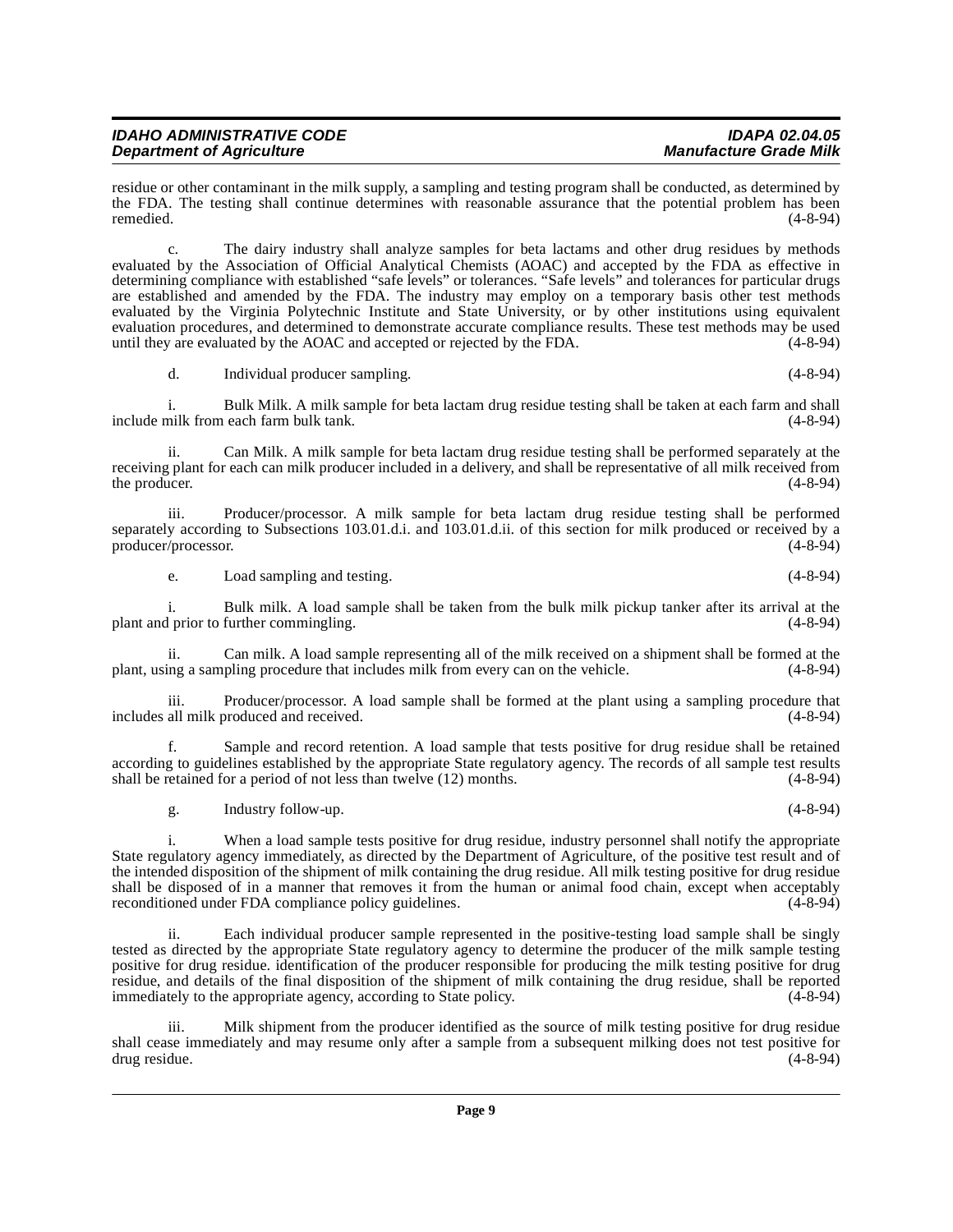| <b>IDAHO ADMINISTRATIVE CODE</b> | <b>IDAPA 02.04.05</b>         |
|----------------------------------|-------------------------------|
| <b>Department of Agriculture</b> | <b>Manufacture Grade Milk</b> |

residue or other contaminant in the milk supply, a sampling and testing program shall be conducted, as determined by the FDA. The testing shall continue determines with reasonable assurance that the potential problem has been<br>remedied. (4-8-94) remedied. (4-8-94)

c. The dairy industry shall analyze samples for beta lactams and other drug residues by methods evaluated by the Association of Official Analytical Chemists (AOAC) and accepted by the FDA as effective in determining compliance with established "safe levels" or tolerances. "Safe levels" and tolerances for particular drugs are established and amended by the FDA. The industry may employ on a temporary basis other test methods evaluated by the Virginia Polytechnic Institute and State University, or by other institutions using equivalent evaluation procedures, and determined to demonstrate accurate compliance results. These test methods may be used<br>until they are evaluated by the AOAC and accepted or rejected by the FDA. (4-8-94) until they are evaluated by the AOAC and accepted or rejected by the FDA.

d. Individual producer sampling. (4-8-94)

i. Bulk Milk. A milk sample for beta lactam drug residue testing shall be taken at each farm and shall include milk from each farm bulk tank.

ii. Can Milk. A milk sample for beta lactam drug residue testing shall be performed separately at the receiving plant for each can milk producer included in a delivery, and shall be representative of all milk received from the producer. (4-8-94)

iii. Producer/processor. A milk sample for beta lactam drug residue testing shall be performed separately according to Subsections 103.01.d.i. and 103.01.d.ii. of this section for milk produced or received by a producer/processor. (4-8-94) producer/processor.

e. Load sampling and testing. (4-8-94)

i. Bulk milk. A load sample shall be taken from the bulk milk pickup tanker after its arrival at the plant and prior to further commingling. (4-8-94)

ii. Can milk. A load sample representing all of the milk received on a shipment shall be formed at the plant, using a sampling procedure that includes milk from every can on the vehicle. (4-8-94)

iii. Producer/processor. A load sample shall be formed at the plant using a sampling procedure that includes all milk produced and received.

f. Sample and record retention. A load sample that tests positive for drug residue shall be retained according to guidelines established by the appropriate State regulatory agency. The records of all sample test results shall be retained for a period of not less than twelve (12) months. (4-8-94)

g. Industry follow-up. (4-8-94)

i. When a load sample tests positive for drug residue, industry personnel shall notify the appropriate

State regulatory agency immediately, as directed by the Department of Agriculture, of the positive test result and of the intended disposition of the shipment of milk containing the drug residue. All milk testing positive for drug residue shall be disposed of in a manner that removes it from the human or animal food chain, except when acceptably reconditioned under FDA compliance policy guidelines. (4-8-94)

ii. Each individual producer sample represented in the positive-testing load sample shall be singly tested as directed by the appropriate State regulatory agency to determine the producer of the milk sample testing positive for drug residue. identification of the producer responsible for producing the milk testing positive for drug residue, and details of the final disposition of the shipment of milk containing the drug residue, shall be reported immediately to the appropriate agency, according to State policy. (4-8-94)

iii. Milk shipment from the producer identified as the source of milk testing positive for drug residue shall cease immediately and may resume only after a sample from a subsequent milking does not test positive for drug residue. (4-8-94) drug residue. (4-8-94)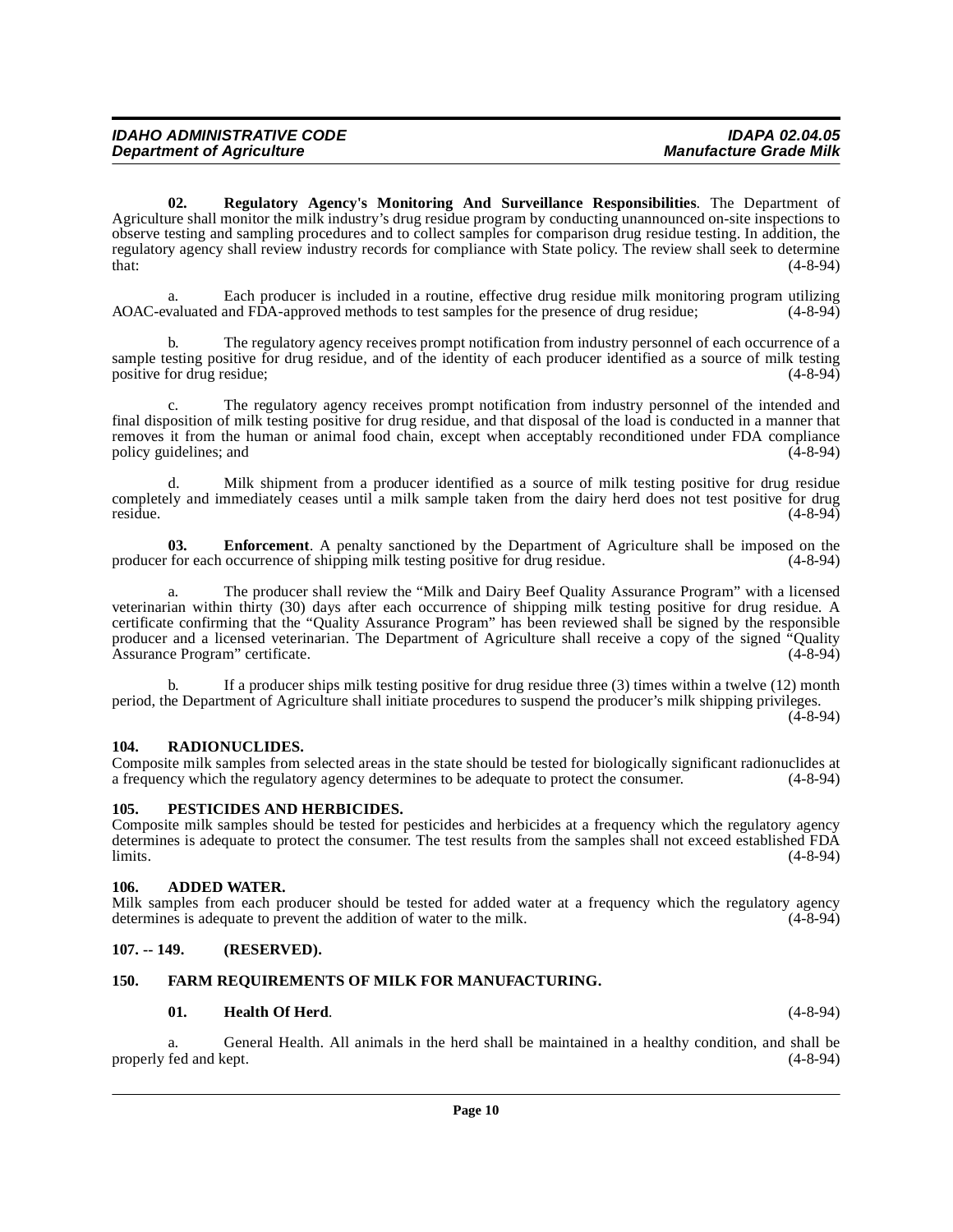<span id="page-9-11"></span>**02. Regulatory Agency's Monitoring And Surveillance Responsibilities**. The Department of Agriculture shall monitor the milk industry's drug residue program by conducting unannounced on-site inspections to observe testing and sampling procedures and to collect samples for comparison drug residue testing. In addition, the regulatory agency shall review industry records for compliance with State policy. The review shall seek to determine  $t$ hat:  $(4-8-94)$ 

a. Each producer is included in a routine, effective drug residue milk monitoring program utilizing AOAC-evaluated and FDA-approved methods to test samples for the presence of drug residue; (4-8-94)

b. The regulatory agency receives prompt notification from industry personnel of each occurrence of a sample testing positive for drug residue, and of the identity of each producer identified as a source of milk testing positive for drug residue: (4-8-94) positive for drug residue;

The regulatory agency receives prompt notification from industry personnel of the intended and final disposition of milk testing positive for drug residue, and that disposal of the load is conducted in a manner that removes it from the human or animal food chain, except when acceptably reconditioned under FDA compliance policy guidelines; and (4-8-94) policy guidelines; and

d. Milk shipment from a producer identified as a source of milk testing positive for drug residue completely and immediately ceases until a milk sample taken from the dairy herd does not test positive for drug<br>(4-8-94) residue. (4-8-94)

<span id="page-9-6"></span>**03. Enforcement**. A penalty sanctioned by the Department of Agriculture shall be imposed on the producer for each occurrence of shipping milk testing positive for drug residue. (4-8-94)

a. The producer shall review the "Milk and Dairy Beef Quality Assurance Program" with a licensed veterinarian within thirty (30) days after each occurrence of shipping milk testing positive for drug residue. A certificate confirming that the "Quality Assurance Program" has been reviewed shall be signed by the responsible producer and a licensed veterinarian. The Department of Agriculture shall receive a copy of the signed "Quality Assurance Program" certificate. (4-8-94) Assurance Program" certificate.

If a producer ships milk testing positive for drug residue three  $(3)$  times within a twelve  $(12)$  month period, the Department of Agriculture shall initiate procedures to suspend the producer's milk shipping privileges.

 $(4 - 8 - 94)$ 

#### <span id="page-9-10"></span><span id="page-9-0"></span>**104. RADIONUCLIDES.**

Composite milk samples from selected areas in the state should be tested for biologically significant radionuclides at a frequency which the regulatory agency determines to be adequate to protect the consumer. (4-8-94) a frequency which the regulatory agency determines to be adequate to protect the consumer.

#### <span id="page-9-9"></span><span id="page-9-1"></span>**105. PESTICIDES AND HERBICIDES.**

Composite milk samples should be tested for pesticides and herbicides at a frequency which the regulatory agency determines is adequate to protect the consumer. The test results from the samples shall not exceed established FDA limits. (4-8-94) limits. (4-8-94)

#### <span id="page-9-5"></span><span id="page-9-2"></span>**106. ADDED WATER.**

Milk samples from each producer should be tested for added water at a frequency which the regulatory agency determines is adequate to prevent the addition of water to the milk. (4-8-94)

#### <span id="page-9-3"></span>**107. -- 149. (RESERVED).**

#### <span id="page-9-4"></span>**150. FARM REQUIREMENTS OF MILK FOR MANUFACTURING.**

#### <span id="page-9-8"></span><span id="page-9-7"></span>**01. Health Of Herd**. (4-8-94)

a. General Health. All animals in the herd shall be maintained in a healthy condition, and shall be properly fed and kept.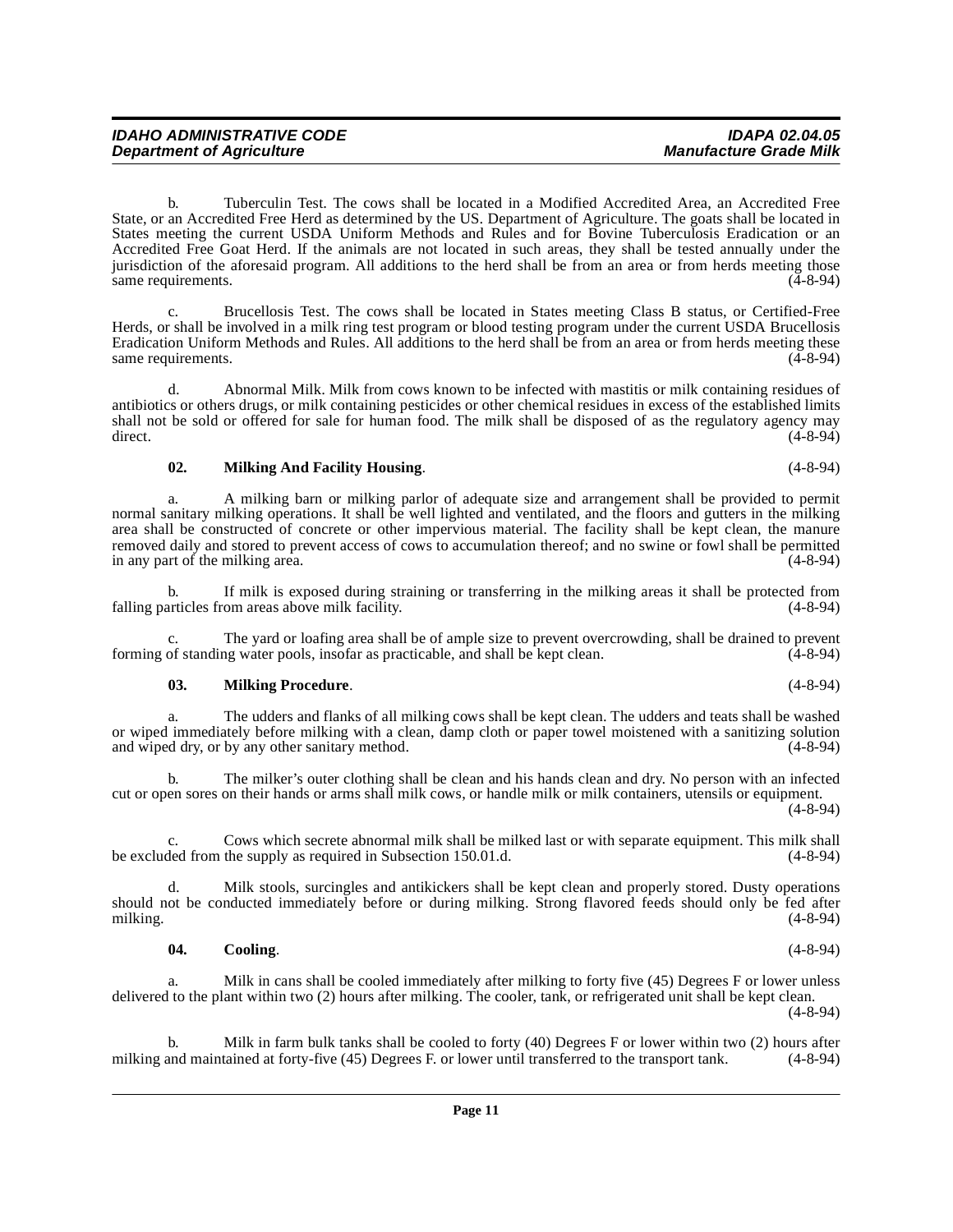b. Tuberculin Test. The cows shall be located in a Modified Accredited Area, an Accredited Free State, or an Accredited Free Herd as determined by the US. Department of Agriculture. The goats shall be located in States meeting the current USDA Uniform Methods and Rules and for Bovine Tuberculosis Eradication or an Accredited Free Goat Herd. If the animals are not located in such areas, they shall be tested annually under the jurisdiction of the aforesaid program. All additions to the herd shall be from an area or from herds meeting those same requirements. (4-8-94) same requirements.

c. Brucellosis Test. The cows shall be located in States meeting Class B status, or Certified-Free Herds, or shall be involved in a milk ring test program or blood testing program under the current USDA Brucellosis Eradication Uniform Methods and Rules. All additions to the herd shall be from an area or from herds meeting these same requirements. (4-8-94) same requirements.

d. Abnormal Milk. Milk from cows known to be infected with mastitis or milk containing residues of antibiotics or others drugs, or milk containing pesticides or other chemical residues in excess of the established limits shall not be sold or offered for sale for human food. The milk shall be disposed of as the regulatory agency may direct.  $\frac{d}{4-8-94}$ 

#### <span id="page-10-1"></span>**02. Milking And Facility Housing**. (4-8-94)

a. A milking barn or milking parlor of adequate size and arrangement shall be provided to permit normal sanitary milking operations. It shall be well lighted and ventilated, and the floors and gutters in the milking area shall be constructed of concrete or other impervious material. The facility shall be kept clean, the manure removed daily and stored to prevent access of cows to accumulation thereof; and no swine or fowl shall be permitted in any part of the milking area. (4-8-94)

b. If milk is exposed during straining or transferring in the milking areas it shall be protected from falling particles from areas above milk facility.

The yard or loafing area shall be of ample size to prevent overcrowding, shall be drained to prevent ng water pools, insofar as practicable, and shall be kept clean. (4-8-94) forming of standing water pools, insofar as practicable, and shall be kept clean.

#### <span id="page-10-2"></span>**03. Milking Procedure**. (4-8-94)

a. The udders and flanks of all milking cows shall be kept clean. The udders and teats shall be washed or wiped immediately before milking with a clean, damp cloth or paper towel moistened with a sanitizing solution and wiped dry, or by any other sanitary method. (4-8-94)

The milker's outer clothing shall be clean and his hands clean and dry. No person with an infected cut or open sores on their hands or arms shall milk cows, or handle milk or milk containers, utensils or equipment. (4-8-94)

c. Cows which secrete abnormal milk shall be milked last or with separate equipment. This milk shall be excluded from the supply as required in Subsection 150.01.d. (4-8-94)

d. Milk stools, surcingles and antikickers shall be kept clean and properly stored. Dusty operations should not be conducted immediately before or during milking. Strong flavored feeds should only be fed after milking. (4-8-94)

#### <span id="page-10-0"></span>**04. Cooling**. (4-8-94)

Milk in cans shall be cooled immediately after milking to forty five (45) Degrees F or lower unless delivered to the plant within two (2) hours after milking. The cooler, tank, or refrigerated unit shall be kept clean. (4-8-94)

b. Milk in farm bulk tanks shall be cooled to forty (40) Degrees F or lower within two (2) hours after and maintained at forty-five (45) Degrees F. or lower until transferred to the transport tank. (4-8-94) milking and maintained at forty-five (45) Degrees F. or lower until transferred to the transport tank.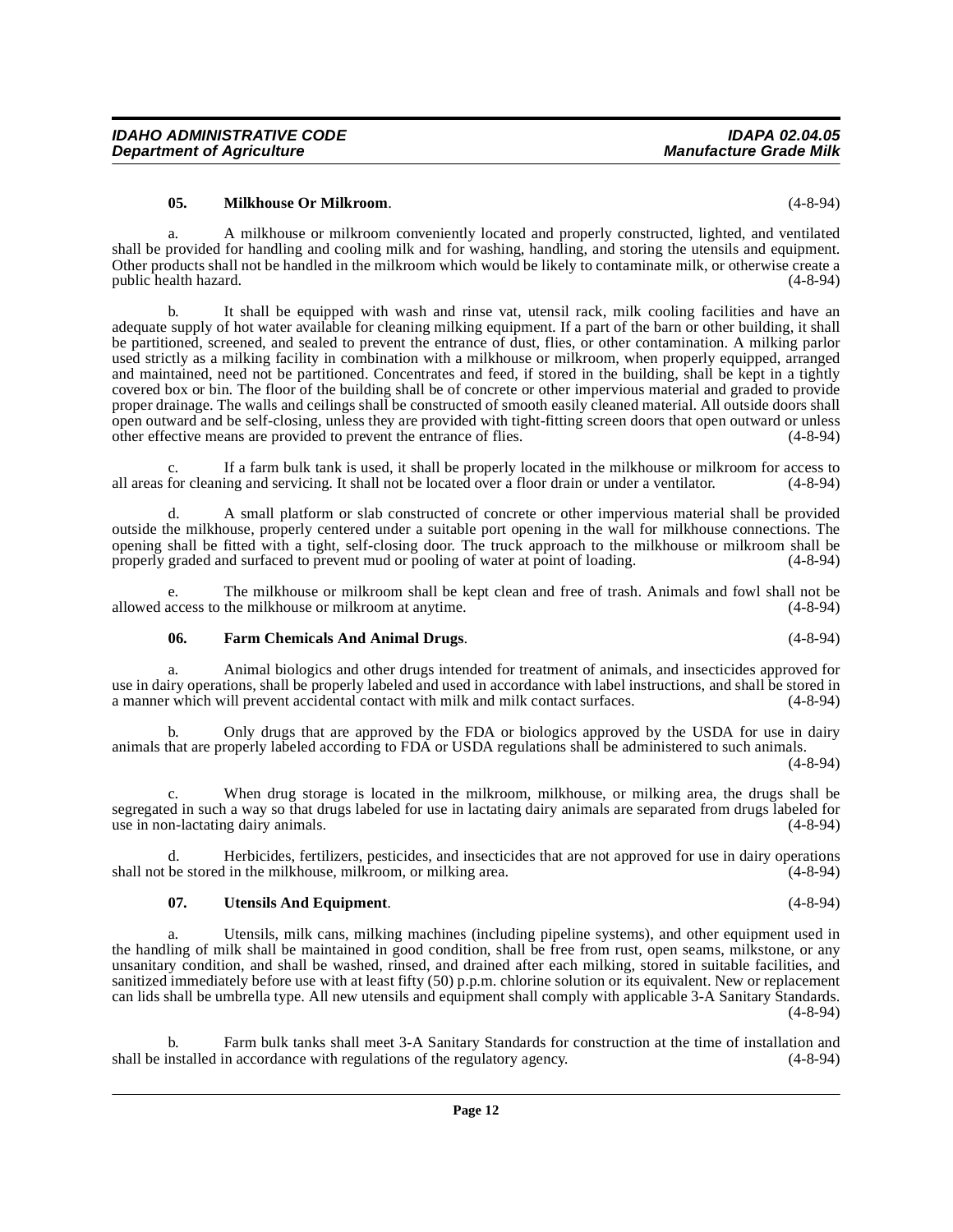#### <span id="page-11-1"></span>**05. Milkhouse Or Milkroom**. (4-8-94)

a. A milkhouse or milkroom conveniently located and properly constructed, lighted, and ventilated shall be provided for handling and cooling milk and for washing, handling, and storing the utensils and equipment. Other products shall not be handled in the milkroom which would be likely to contaminate milk, or otherwise create a public health hazard.

b. It shall be equipped with wash and rinse vat, utensil rack, milk cooling facilities and have an adequate supply of hot water available for cleaning milking equipment. If a part of the barn or other building, it shall be partitioned, screened, and sealed to prevent the entrance of dust, flies, or other contamination. A milking parlor used strictly as a milking facility in combination with a milkhouse or milkroom, when properly equipped, arranged and maintained, need not be partitioned. Concentrates and feed, if stored in the building, shall be kept in a tightly covered box or bin. The floor of the building shall be of concrete or other impervious material and graded to provide proper drainage. The walls and ceilings shall be constructed of smooth easily cleaned material. All outside doors shall open outward and be self-closing, unless they are provided with tight-fitting screen doors that open outward or unless other effective means are provided to prevent the entrance of flies. (4-8-94) other effective means are provided to prevent the entrance of flies.

If a farm bulk tank is used, it shall be properly located in the milkhouse or milkroom for access to ing and servicing. It shall not be located over a floor drain or under a ventilator. (4-8-94) all areas for cleaning and servicing. It shall not be located over a floor drain or under a ventilator.

d. A small platform or slab constructed of concrete or other impervious material shall be provided outside the milkhouse, properly centered under a suitable port opening in the wall for milkhouse connections. The opening shall be fitted with a tight, self-closing door. The truck approach to the milkhouse or milkroom shall be properly graded and surfaced to prevent mud or pooling of water at point of loading. (4-8-94)

e. The milkhouse or milkroom shall be kept clean and free of trash. Animals and fowl shall not be access to the milkhouse or milkroom at anytime. (4-8-94) allowed access to the milkhouse or milkroom at anytime.

#### <span id="page-11-0"></span>**06. Farm Chemicals And Animal Drugs**. (4-8-94)

a. Animal biologics and other drugs intended for treatment of animals, and insecticides approved for use in dairy operations, shall be properly labeled and used in accordance with label instructions, and shall be stored in a manner which will prevent accidental contact with milk and milk contact surfaces. (4-8-94)

b. Only drugs that are approved by the FDA or biologics approved by the USDA for use in dairy animals that are properly labeled according to FDA or USDA regulations shall be administered to such animals. (4-8-94)

c. When drug storage is located in the milkroom, milkhouse, or milking area, the drugs shall be segregated in such a way so that drugs labeled for use in lactating dairy animals are separated from drugs labeled for use in non-lactating dairy animals. use in non-lactating dairy animals.

d. Herbicides, fertilizers, pesticides, and insecticides that are not approved for use in dairy operations be stored in the milkhouse, milkroom, or milking area. (4-8-94) shall not be stored in the milkhouse, milkroom, or milking area.

#### <span id="page-11-2"></span>**07. Utensils And Equipment**. (4-8-94)

a. Utensils, milk cans, milking machines (including pipeline systems), and other equipment used in the handling of milk shall be maintained in good condition, shall be free from rust, open seams, milkstone, or any unsanitary condition, and shall be washed, rinsed, and drained after each milking, stored in suitable facilities, and sanitized immediately before use with at least fifty (50) p.p.m. chlorine solution or its equivalent. New or replacement can lids shall be umbrella type. All new utensils and equipment shall comply with applicable 3-A Sanitary Standards. (4-8-94)

b. Farm bulk tanks shall meet 3-A Sanitary Standards for construction at the time of installation and installed in accordance with regulations of the regulatory agency. shall be installed in accordance with regulations of the regulatory agency.

**IDAHO ADMINISTRATIVE CODE IDAPA 02.04.05 Department of Agriculture**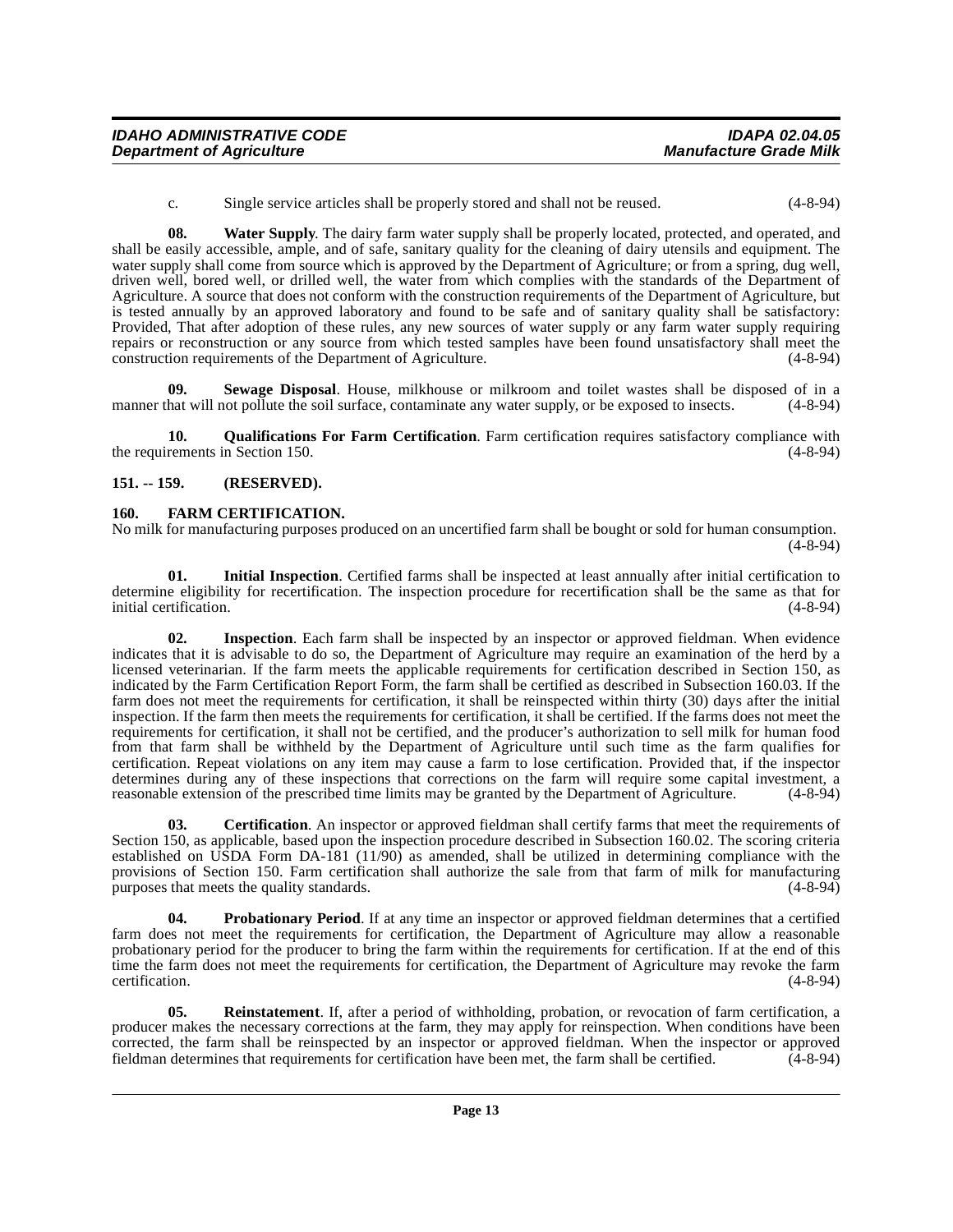<span id="page-12-10"></span>c. Single service articles shall be properly stored and shall not be reused. (4-8-94)

**08. Water Supply**. The dairy farm water supply shall be properly located, protected, and operated, and shall be easily accessible, ample, and of safe, sanitary quality for the cleaning of dairy utensils and equipment. The water supply shall come from source which is approved by the Department of Agriculture; or from a spring, dug well, driven well, bored well, or drilled well, the water from which complies with the standards of the Department of Agriculture. A source that does not conform with the construction requirements of the Department of Agriculture, but is tested annually by an approved laboratory and found to be safe and of sanitary quality shall be satisfactory: Provided, That after adoption of these rules, any new sources of water supply or any farm water supply requiring repairs or reconstruction or any source from which tested samples have been found unsatisfactory shall meet the construction requirements of the Department of Agriculture. (4-8-94) construction requirements of the Department of Agriculture.

<span id="page-12-9"></span>**09. Sewage Disposal**. House, milkhouse or milkroom and toilet wastes shall be disposed of in a manner that will not pollute the soil surface, contaminate any water supply, or be exposed to insects.  $(4-8-94)$ 

<span id="page-12-7"></span>**10. Qualifications For Farm Certification**. Farm certification requires satisfactory compliance with the requirements in Section 150.

#### <span id="page-12-0"></span>**151. -- 159. (RESERVED).**

#### <span id="page-12-3"></span><span id="page-12-1"></span>**160. FARM CERTIFICATION.**

No milk for manufacturing purposes produced on an uncertified farm shall be bought or sold for human consumption. (4-8-94)

<span id="page-12-4"></span>**01. Initial Inspection**. Certified farms shall be inspected at least annually after initial certification to determine eligibility for recertification. The inspection procedure for recertification shall be the same as that for initial certification. (4-8-94) initial certification.

<span id="page-12-5"></span>**02. Inspection**. Each farm shall be inspected by an inspector or approved fieldman. When evidence indicates that it is advisable to do so, the Department of Agriculture may require an examination of the herd by a licensed veterinarian. If the farm meets the applicable requirements for certification described in Section 150, as indicated by the Farm Certification Report Form, the farm shall be certified as described in Subsection 160.03. If the farm does not meet the requirements for certification, it shall be reinspected within thirty (30) days after the initial inspection. If the farm then meets the requirements for certification, it shall be certified. If the farms does not meet the requirements for certification, it shall not be certified, and the producer's authorization to sell milk for human food from that farm shall be withheld by the Department of Agriculture until such time as the farm qualifies for certification. Repeat violations on any item may cause a farm to lose certification. Provided that, if the inspector determines during any of these inspections that corrections on the farm will require some capital investment, a reasonable extension of the prescribed time limits may be granted by the Department of Agriculture. (4-8-94) reasonable extension of the prescribed time limits may be granted by the Department of Agriculture.

<span id="page-12-2"></span>**03.** Certification. An inspector or approved fieldman shall certify farms that meet the requirements of Section 150, as applicable, based upon the inspection procedure described in Subsection 160.02. The scoring criteria established on USDA Form DA-181 (11/90) as amended, shall be utilized in determining compliance with the provisions of Section 150. Farm certification shall authorize the sale from that farm of milk for manufacturing<br>purposes that meets the quality standards. (4-8-94) purposes that meets the quality standards.

<span id="page-12-6"></span>**04. Probationary Period**. If at any time an inspector or approved fieldman determines that a certified farm does not meet the requirements for certification, the Department of Agriculture may allow a reasonable probationary period for the producer to bring the farm within the requirements for certification. If at the end of this time the farm does not meet the requirements for certification, the Department of Agriculture may revoke the farm certification. (4-8-94)

<span id="page-12-8"></span>**05. Reinstatement**. If, after a period of withholding, probation, or revocation of farm certification, a producer makes the necessary corrections at the farm, they may apply for reinspection. When conditions have been corrected, the farm shall be reinspected by an inspector or approved fieldman. When the inspector or approved fieldman determines that requirements for certification have been met, the farm shall be certified.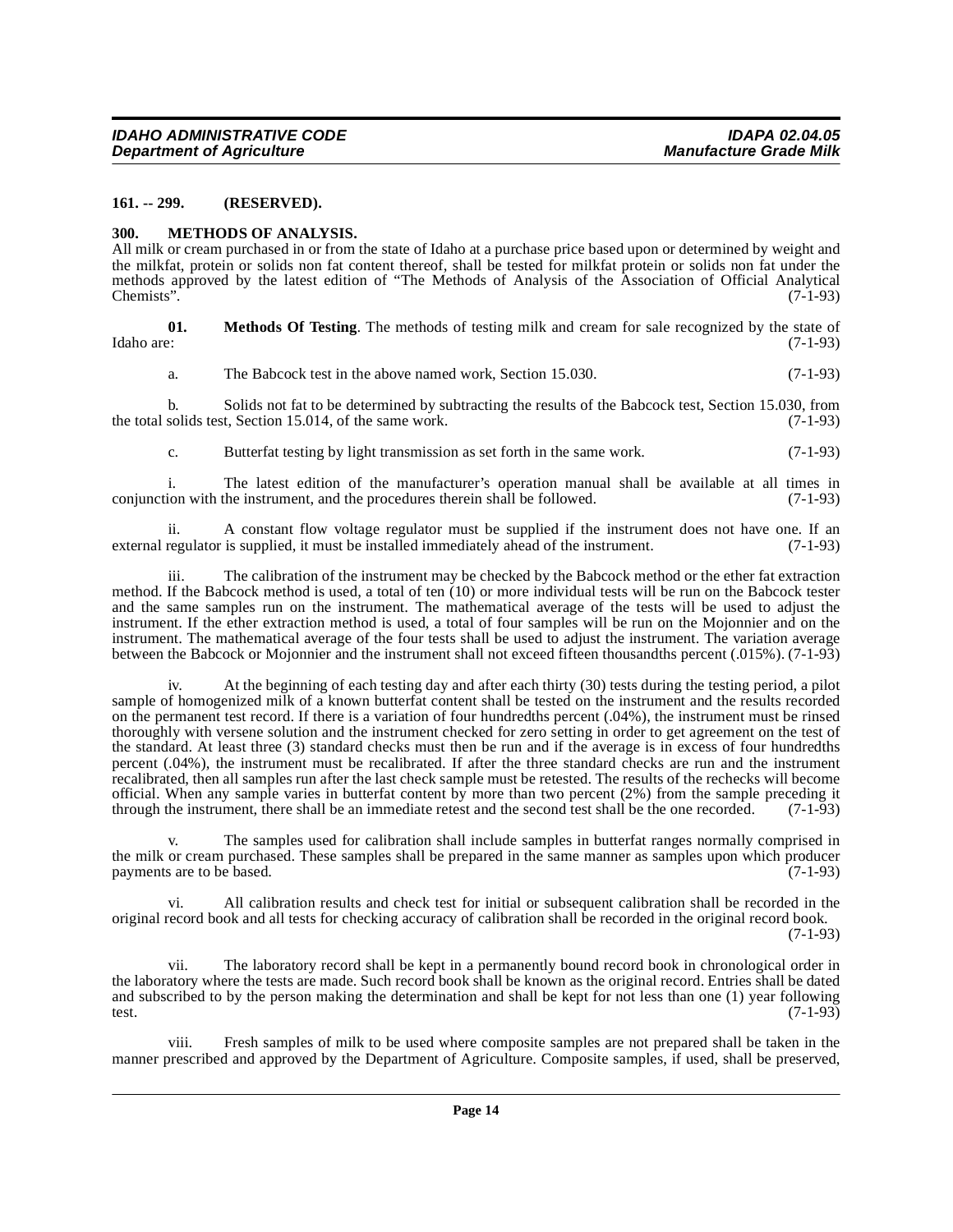#### <span id="page-13-0"></span>**161. -- 299. (RESERVED).**

#### <span id="page-13-2"></span><span id="page-13-1"></span>**300. METHODS OF ANALYSIS.**

All milk or cream purchased in or from the state of Idaho at a purchase price based upon or determined by weight and the milkfat, protein or solids non fat content thereof, shall be tested for milkfat protein or solids non fat under the methods approved by the latest edition of "The Methods of Analysis of the Association of Official Analytical  $Chemists"$ .  $(7-1-93)$ 

**01.** Methods Of Testing. The methods of testing milk and cream for sale recognized by the state of Idaho are: (7-1-93) Idaho are: (7-1-93)

<span id="page-13-3"></span>a. The Babcock test in the above named work, Section 15.030. (7-1-93)

b. Solids not fat to be determined by subtracting the results of the Babcock test, Section 15.030, from solids test, Section 15.014, of the same work. (7-1-93) the total solids test, Section  $15.014$ , of the same work.

c. Butterfat testing by light transmission as set forth in the same work. (7-1-93)

i. The latest edition of the manufacturer's operation manual shall be available at all times in ion with the instrument, and the procedures therein shall be followed.  $(7-1-93)$ conjunction with the instrument, and the procedures therein shall be followed.

ii. A constant flow voltage regulator must be supplied if the instrument does not have one. If an regulator is supplied, it must be installed immediately ahead of the instrument. (7-1-93) external regulator is supplied, it must be installed immediately ahead of the instrument.

iii. The calibration of the instrument may be checked by the Babcock method or the ether fat extraction method. If the Babcock method is used, a total of ten (10) or more individual tests will be run on the Babcock tester and the same samples run on the instrument. The mathematical average of the tests will be used to adjust the instrument. If the ether extraction method is used, a total of four samples will be run on the Mojonnier and on the instrument. The mathematical average of the four tests shall be used to adjust the instrument. The variation average between the Babcock or Mojonnier and the instrument shall not exceed fifteen thousandths percent (.015%). (7-1-93)

At the beginning of each testing day and after each thirty (30) tests during the testing period, a pilot sample of homogenized milk of a known butterfat content shall be tested on the instrument and the results recorded on the permanent test record. If there is a variation of four hundredths percent (.04%), the instrument must be rinsed thoroughly with versene solution and the instrument checked for zero setting in order to get agreement on the test of the standard. At least three (3) standard checks must then be run and if the average is in excess of four hundredths percent (.04%), the instrument must be recalibrated. If after the three standard checks are run and the instrument recalibrated, then all samples run after the last check sample must be retested. The results of the rechecks will become official. When any sample varies in butterfat content by more than two percent (2%) from the sample preceding it through the instrument, there shall be an immediate retest and the second test shall be the one recorded.  $(7-1-93)$ 

The samples used for calibration shall include samples in butterfat ranges normally comprised in the milk or cream purchased. These samples shall be prepared in the same manner as samples upon which producer<br>(7-1-93) payments are to be based.

vi. All calibration results and check test for initial or subsequent calibration shall be recorded in the original record book and all tests for checking accuracy of calibration shall be recorded in the original record book.

(7-1-93)

vii. The laboratory record shall be kept in a permanently bound record book in chronological order in the laboratory where the tests are made. Such record book shall be known as the original record. Entries shall be dated and subscribed to by the person making the determination and shall be kept for not less than one (1) year following test.  $(7-1-93)$ test.  $(7-1-93)$ 

viii. Fresh samples of milk to be used where composite samples are not prepared shall be taken in the manner prescribed and approved by the Department of Agriculture. Composite samples, if used, shall be preserved,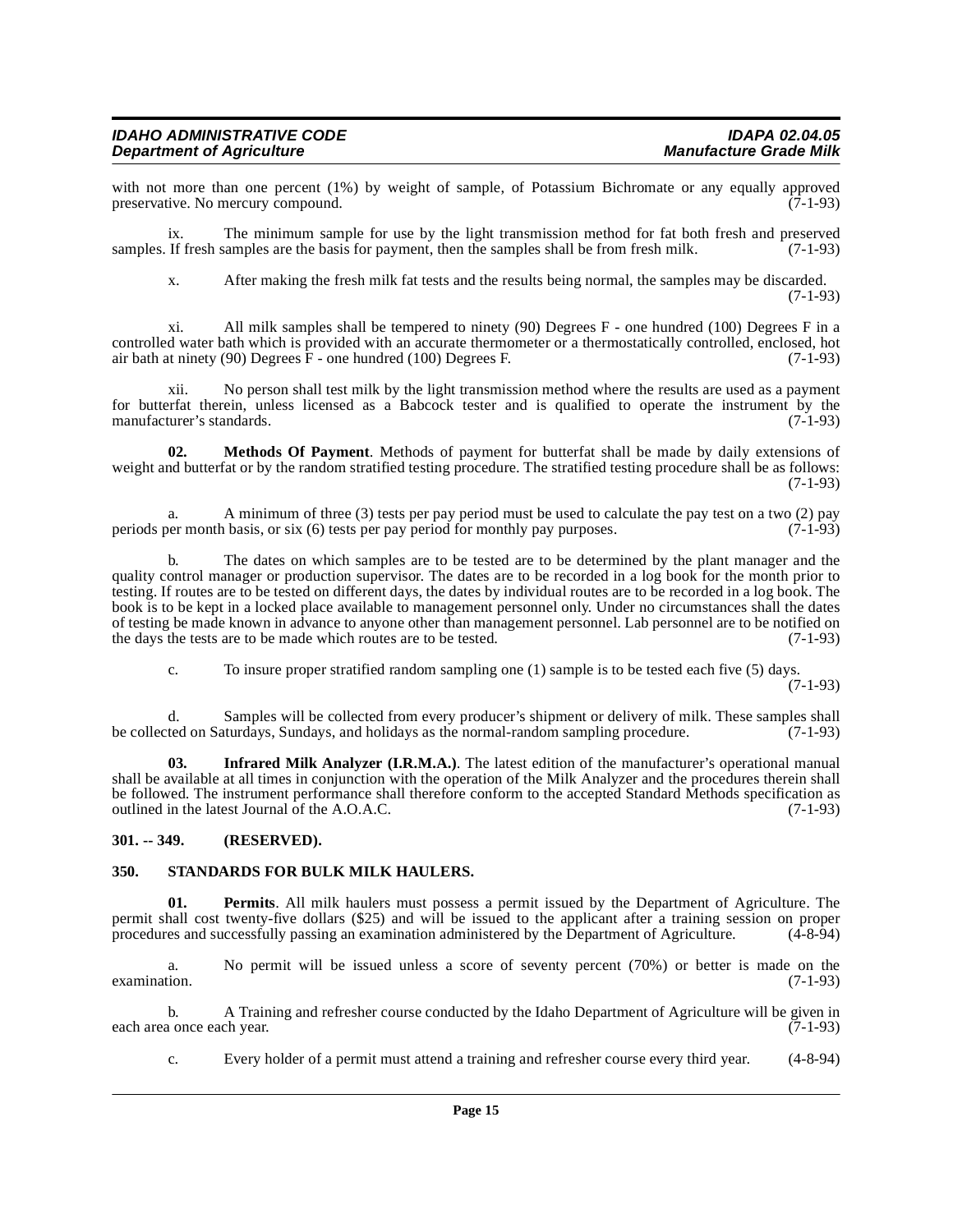with not more than one percent (1%) by weight of sample, of Potassium Bichromate or any equally approved preservative. No mercury compound. (7-1-93) preservative. No mercury compound.

ix. The minimum sample for use by the light transmission method for fat both fresh and preserved samples. If fresh samples are the basis for payment, then the samples shall be from fresh milk. (7-1-93)

x. After making the fresh milk fat tests and the results being normal, the samples may be discarded. (7-1-93)

xi. All milk samples shall be tempered to ninety (90) Degrees  $F$  - one hundred (100) Degrees  $F$  in a controlled water bath which is provided with an accurate thermometer or a thermostatically controlled, enclosed, hot air bath at ninety (90) Degrees  $\hat{F}$  - one hundred (100) Degrees F. (7-1-93)

No person shall test milk by the light transmission method where the results are used as a payment for butterfat therein, unless licensed as a Babcock tester and is qualified to operate the instrument by the manufacturer's standards. (7-1-93) manufacturer's standards.

<span id="page-14-3"></span>**02. Methods Of Payment**. Methods of payment for butterfat shall be made by daily extensions of weight and butterfat or by the random stratified testing procedure. The stratified testing procedure shall be as follows: (7-1-93)

a. A minimum of three (3) tests per pay period must be used to calculate the pay test on a two (2) pay per month basis, or six (6) tests per pay period for monthly pay purposes.  $(7-1-93)$ periods per month basis, or six  $(6)$  tests per pay period for monthly pay purposes.

b. The dates on which samples are to be tested are to be determined by the plant manager and the quality control manager or production supervisor. The dates are to be recorded in a log book for the month prior to testing. If routes are to be tested on different days, the dates by individual routes are to be recorded in a log book. The book is to be kept in a locked place available to management personnel only. Under no circumstances shall the dates of testing be made known in advance to anyone other than management personnel. Lab personnel are to be notified on the days the tests are to be made which routes are to be tested. (7-1-93) the days the tests are to be made which routes are to be tested.

<span id="page-14-2"></span>c. To insure proper stratified random sampling one (1) sample is to be tested each five (5) days. (7-1-93)

d. Samples will be collected from every producer's shipment or delivery of milk. These samples shall ted on Saturdays, Sundays, and holidays as the normal-random sampling procedure. (7-1-93) be collected on Saturdays, Sundays, and holidays as the normal-random sampling procedure.

**03. Infrared Milk Analyzer (I.R.M.A.)**. The latest edition of the manufacturer's operational manual shall be available at all times in conjunction with the operation of the Milk Analyzer and the procedures therein shall be followed. The instrument performance shall therefore conform to the accepted Standard Methods specification as outlined in the latest Journal of the A.O.A.C. (7-1-93)

#### <span id="page-14-0"></span>**301. -- 349. (RESERVED).**

#### <span id="page-14-5"></span><span id="page-14-1"></span>**350. STANDARDS FOR BULK MILK HAULERS.**

<span id="page-14-4"></span>**01. Permits**. All milk haulers must possess a permit issued by the Department of Agriculture. The permit shall cost twenty-five dollars (\$25) and will be issued to the applicant after a training session on proper procedures and successfully passing an examination administered by the Department of Agriculture. (4-8-94)

a. No permit will be issued unless a score of seventy percent (70%) or better is made on the examination. (7-1-93)

b. A Training and refresher course conducted by the Idaho Department of Agriculture will be given in a once each year. (7-1-93) each area once each year.

c. Every holder of a permit must attend a training and refresher course every third year. (4-8-94)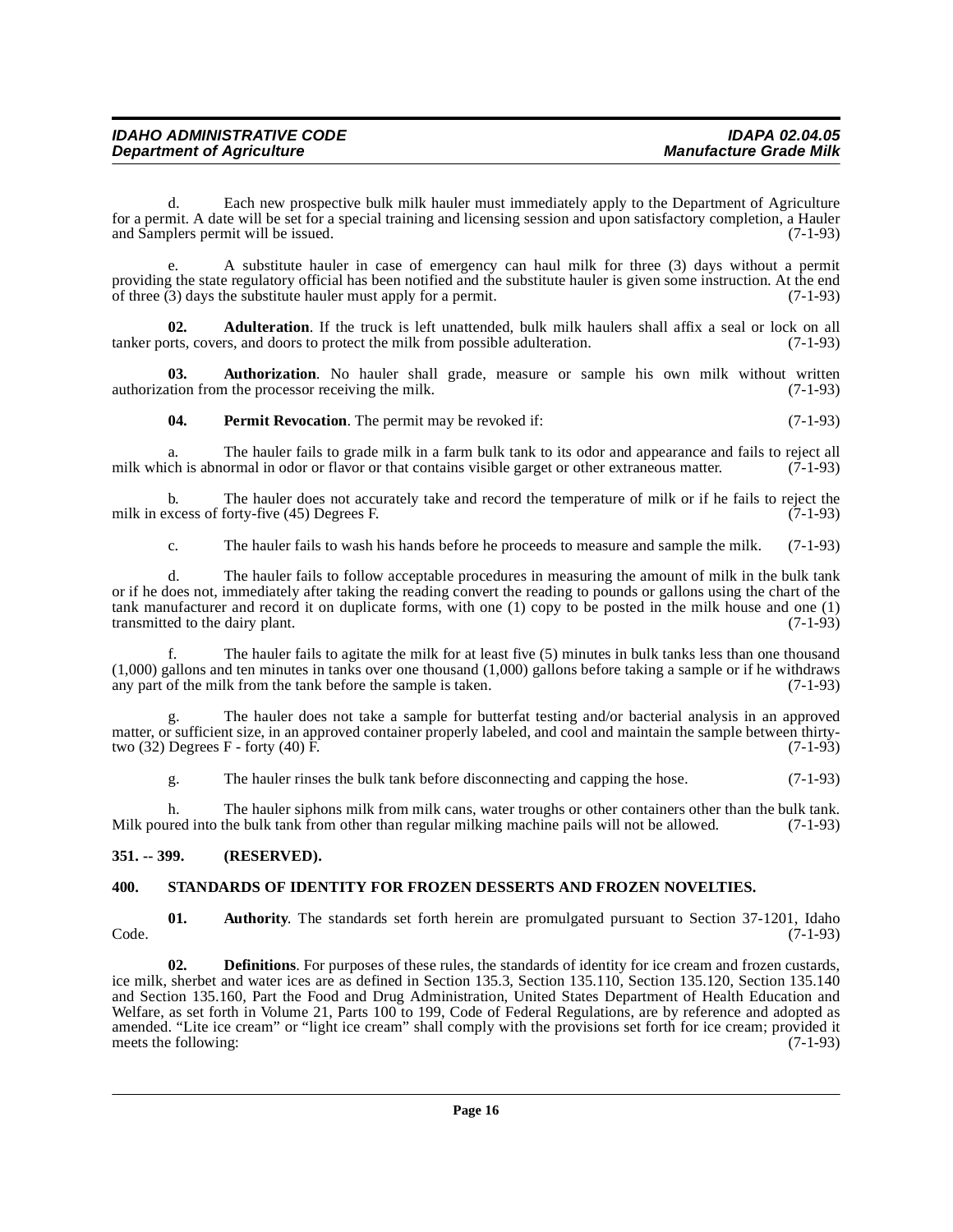d. Each new prospective bulk milk hauler must immediately apply to the Department of Agriculture for a permit. A date will be set for a special training and licensing session and upon satisfactory completion, a Hauler and Samplers permit will be issued. (7-1-93) and Samplers permit will be issued.

e. A substitute hauler in case of emergency can haul milk for three (3) days without a permit providing the state regulatory official has been notified and the substitute hauler is given some instruction. At the end of three  $(3)$  days the substitute hauler must apply for a permit.  $(7-1-93)$ 

<span id="page-15-2"></span>**Adulteration**. If the truck is left unattended, bulk milk haulers shall affix a seal or lock on all rs, and doors to protect the milk from possible adulteration. (7-1-93) tanker ports, covers, and doors to protect the milk from possible adulteration.

**03. Authorization**. No hauler shall grade, measure or sample his own milk without written authorization from the processor receiving the milk.  $(7-1-93)$ 

<span id="page-15-5"></span><span id="page-15-4"></span>**04.** Permit Revocation. The permit may be revoked if: (7-1-93)

a. The hauler fails to grade milk in a farm bulk tank to its odor and appearance and fails to reject all milk which is abnormal in odor or flavor or that contains visible garget or other extraneous matter. (7-1-93)

b. The hauler does not accurately take and record the temperature of milk or if he fails to reject the xcess of forty-five (45) Degrees F. milk in excess of forty-five  $(45)$  Degrees F.

c. The hauler fails to wash his hands before he proceeds to measure and sample the milk. (7-1-93)

d. The hauler fails to follow acceptable procedures in measuring the amount of milk in the bulk tank or if he does not, immediately after taking the reading convert the reading to pounds or gallons using the chart of the tank manufacturer and record it on duplicate forms, with one (1) copy to be posted in the milk house and one (1) transmitted to the dairy plant.

f. The hauler fails to agitate the milk for at least five (5) minutes in bulk tanks less than one thousand  $(1,000)$  gallons and ten minutes in tanks over one thousand  $(1,000)$  gallons before taking a sample or if he withdraws any part of the milk from the tank before the sample is taken.  $(7-1-93)$ any part of the milk from the tank before the sample is taken.

The hauler does not take a sample for butterfat testing and/or bacterial analysis in an approved matter, or sufficient size, in an approved container properly labeled, and cool and maintain the sample between thirtytwo (32) Degrees F - forty (40)  $\overline{F}$ . (7-1-93)

g. The hauler rinses the bulk tank before disconnecting and capping the hose. (7-1-93)

h. The hauler siphons milk from milk cans, water troughs or other containers other than the bulk tank. Milk poured into the bulk tank from other than regular milking machine pails will not be allowed. (7-1-93)

#### <span id="page-15-0"></span>**351. -- 399. (RESERVED).**

#### <span id="page-15-6"></span><span id="page-15-1"></span>**400. STANDARDS OF IDENTITY FOR FROZEN DESSERTS AND FROZEN NOVELTIES.**

<span id="page-15-3"></span>**01. Authority**. The standards set forth herein are promulgated pursuant to Section 37-1201, Idaho (7-1-93) Code. (7-1-93)

**02. Definitions**. For purposes of these rules, the standards of identity for ice cream and frozen custards, ice milk, sherbet and water ices are as defined in Section 135.3, Section 135.110, Section 135.120, Section 135.140 and Section 135.160, Part the Food and Drug Administration, United States Department of Health Education and Welfare, as set forth in Volume 21, Parts 100 to 199, Code of Federal Regulations, are by reference and adopted as amended. "Lite ice cream" or "light ice cream" shall comply with the provisions set forth for ice cream; provided it meets the following: (7-1-93) meets the following: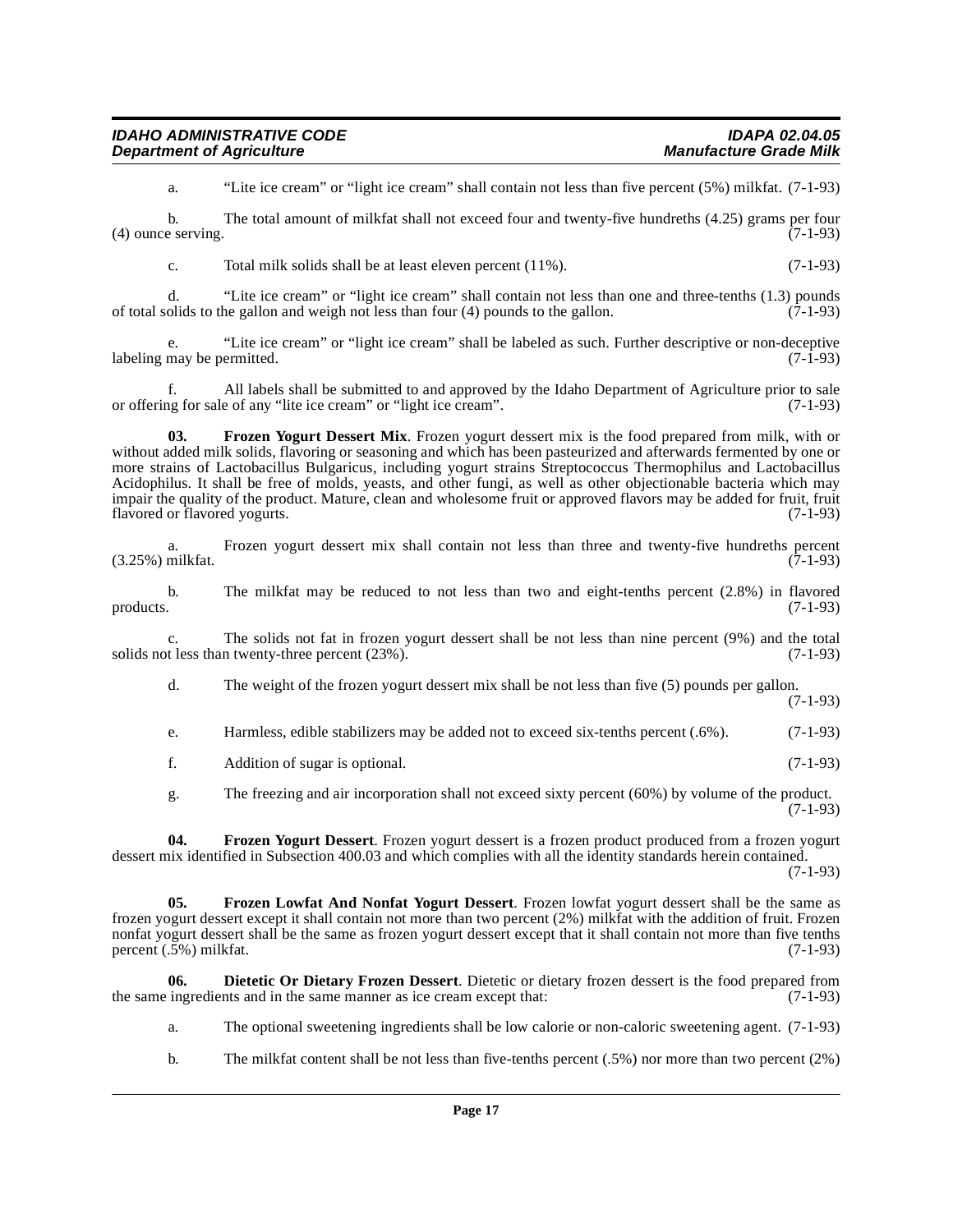a. "Lite ice cream" or "light ice cream" shall contain not less than five percent (5%) milkfat. (7-1-93)

b. The total amount of milkfat shall not exceed four and twenty-five hundreths (4.25) grams per four e serving. (7-1-93)  $(4)$  ounce serving.

c. Total milk solids shall be at least eleven percent (11%). (7-1-93)

d. "Lite ice cream" or "light ice cream" shall contain not less than one and three-tenths  $(1.3)$  pounds olids to the gallon and weigh not less than four  $(4)$  pounds to the gallon.  $(7-1-93)$ of total solids to the gallon and weigh not less than four  $(4)$  pounds to the gallon.

e. "Lite ice cream" or "light ice cream" shall be labeled as such. Further descriptive or non-deceptive labeling may be permitted.

f. All labels shall be submitted to and approved by the Idaho Department of Agriculture prior to sale or offering for sale of any "lite ice cream" or "light ice cream". (7-1-93)

<span id="page-16-3"></span>**03. Frozen Yogurt Dessert Mix**. Frozen yogurt dessert mix is the food prepared from milk, with or without added milk solids, flavoring or seasoning and which has been pasteurized and afterwards fermented by one or more strains of Lactobacillus Bulgaricus, including yogurt strains Streptococcus Thermophilus and Lactobacillus Acidophilus. It shall be free of molds, yeasts, and other fungi, as well as other objectionable bacteria which may impair the quality of the product. Mature, clean and wholesome fruit or approved flavors may be added for fruit, fruit flavored or flavored vogurts. (7-1-93) flavored or flavored yogurts.

a. Frozen yogurt dessert mix shall contain not less than three and twenty-five hundreths percent (3.25%) milkfat. (7-1-93)

b. The milkfat may be reduced to not less than two and eight-tenths percent (2.8%) in flavored products. (7-1-93)  $p_{\text{p}}$  products.  $(7-1-93)$ 

c. The solids not fat in frozen yogurt dessert shall be not less than nine percent (9%) and the total t less than twenty-three percent (23%). (7-1-93) solids not less than twenty-three percent  $(23%)$ .

d. The weight of the frozen yogurt dessert mix shall be not less than five (5) pounds per gallon.

(7-1-93)

e. Harmless, edible stabilizers may be added not to exceed six-tenths percent (.6%). (7-1-93)

- f. Addition of sugar is optional. (7-1-93)
- <span id="page-16-2"></span><span id="page-16-1"></span>g. The freezing and air incorporation shall not exceed sixty percent (60%) by volume of the product. (7-1-93)

**04. Frozen Yogurt Dessert**. Frozen yogurt dessert is a frozen product produced from a frozen yogurt dessert mix identified in Subsection 400.03 and which complies with all the identity standards herein contained.

(7-1-93)

**05. Frozen Lowfat And Nonfat Yogurt Dessert**. Frozen lowfat yogurt dessert shall be the same as frozen yogurt dessert except it shall contain not more than two percent (2%) milkfat with the addition of fruit. Frozen nonfat yogurt dessert shall be the same as frozen yogurt dessert except that it shall contain not more than five tenths percent (.5%) milkfat. (7-1-93) percent  $(.5\%)$  milkfat.

**06. Dietetic Or Dietary Frozen Dessert**. Dietetic or dietary frozen dessert is the food prepared from the same ingredients and in the same manner as ice cream except that: (7-1-93)

<span id="page-16-0"></span>a. The optional sweetening ingredients shall be low calorie or non-caloric sweetening agent. (7-1-93)

b. The milkfat content shall be not less than five-tenths percent (.5%) nor more than two percent (2%)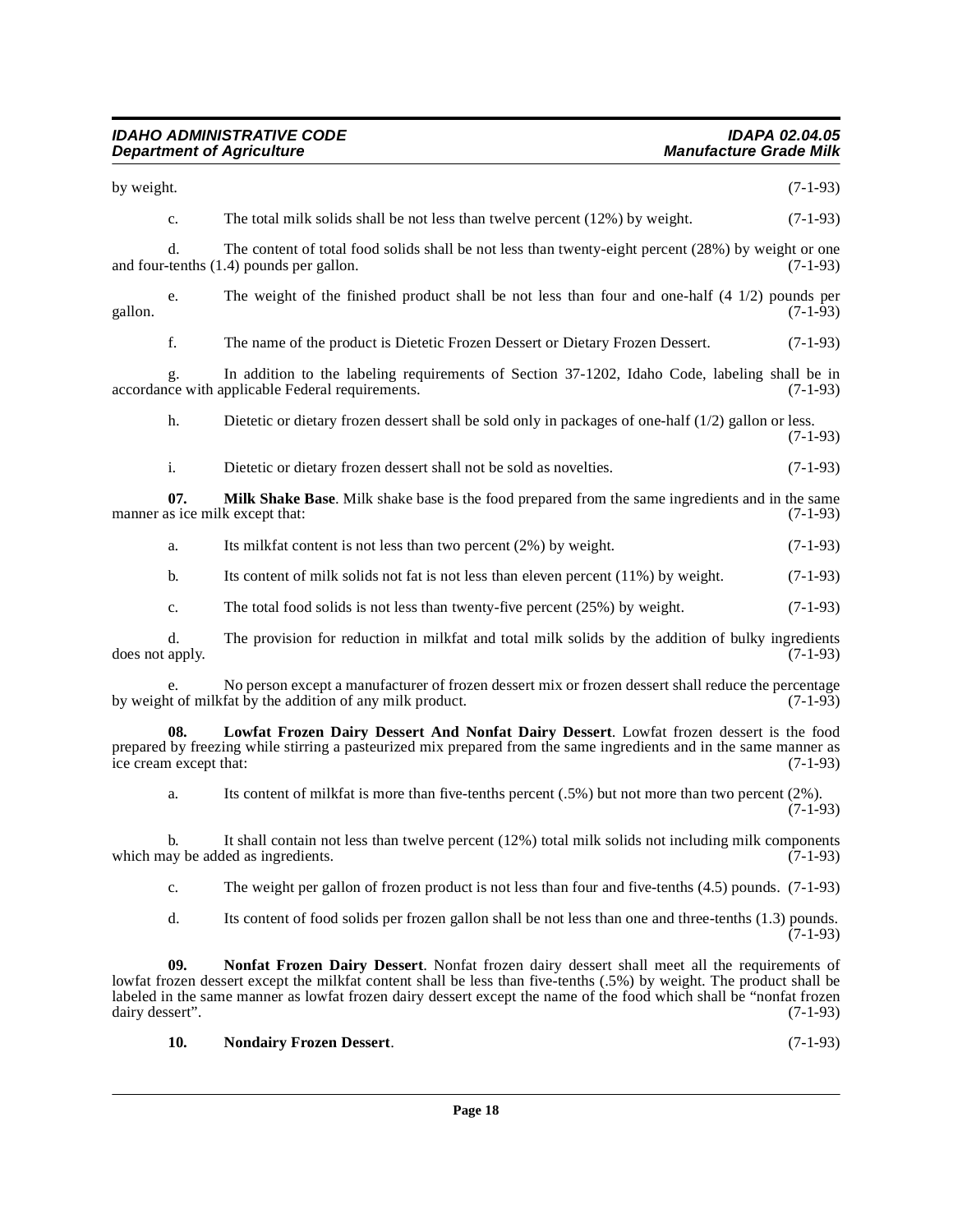<span id="page-17-1"></span>

| by weight.             |     |                                                                                                                                                                                                                                                                                                                                             | $(7-1-93)$ |
|------------------------|-----|---------------------------------------------------------------------------------------------------------------------------------------------------------------------------------------------------------------------------------------------------------------------------------------------------------------------------------------------|------------|
|                        | c.  | The total milk solids shall be not less than twelve percent $(12%)$ by weight.                                                                                                                                                                                                                                                              | $(7-1-93)$ |
|                        | d.  | The content of total food solids shall be not less than twenty-eight percent (28%) by weight or one<br>and four-tenths $(1.4)$ pounds per gallon.                                                                                                                                                                                           | $(7-1-93)$ |
| gallon.                | e.  | The weight of the finished product shall be not less than four and one-half $(4\ 1/2)$ pounds per                                                                                                                                                                                                                                           | $(7-1-93)$ |
|                        | f.  | The name of the product is Dietetic Frozen Dessert or Dietary Frozen Dessert.                                                                                                                                                                                                                                                               | $(7-1-93)$ |
|                        | g.  | In addition to the labeling requirements of Section 37-1202, Idaho Code, labeling shall be in<br>accordance with applicable Federal requirements.                                                                                                                                                                                           | $(7-1-93)$ |
|                        | h.  | Dietetic or dietary frozen dessert shall be sold only in packages of one-half $(1/2)$ gallon or less.                                                                                                                                                                                                                                       | $(7-1-93)$ |
|                        | i.  | Dietetic or dietary frozen dessert shall not be sold as novelties.                                                                                                                                                                                                                                                                          | $(7-1-93)$ |
|                        | 07. | Milk Shake Base. Milk shake base is the food prepared from the same ingredients and in the same<br>manner as ice milk except that:                                                                                                                                                                                                          | $(7-1-93)$ |
|                        | a.  | Its milkfat content is not less than two percent $(2%)$ by weight.                                                                                                                                                                                                                                                                          | $(7-1-93)$ |
|                        | b.  | Its content of milk solids not fat is not less than eleven percent $(11\%)$ by weight.                                                                                                                                                                                                                                                      | $(7-1-93)$ |
|                        | c.  | The total food solids is not less than twenty-five percent $(25%)$ by weight.                                                                                                                                                                                                                                                               | $(7-1-93)$ |
| does not apply.        | d.  | The provision for reduction in milkfat and total milk solids by the addition of bulky ingredients                                                                                                                                                                                                                                           | $(7-1-93)$ |
|                        | e.  | No person except a manufacturer of frozen dessert mix or frozen dessert shall reduce the percentage<br>by weight of milkfat by the addition of any milk product.                                                                                                                                                                            | $(7-1-93)$ |
| ice cream except that: | 08. | Lowfat Frozen Dairy Dessert And Nonfat Dairy Dessert. Lowfat frozen dessert is the food<br>prepared by freezing while stirring a pasteurized mix prepared from the same ingredients and in the same manner as                                                                                                                               | $(7-1-93)$ |
|                        | a.  | Its content of milkfat is more than five-tenths percent $(.5%)$ but not more than two percent $(2%)$ .                                                                                                                                                                                                                                      | $(7-1-93)$ |
|                        |     | It shall contain not less than twelve percent $(12%)$ total milk solids not including milk components<br>which may be added as ingredients.                                                                                                                                                                                                 | $(7-1-93)$ |
|                        | c.  | The weight per gallon of frozen product is not less than four and five-tenths $(4.5)$ pounds. $(7-1-93)$                                                                                                                                                                                                                                    |            |
|                        | d.  | Its content of food solids per frozen gallon shall be not less than one and three-tenths (1.3) pounds.                                                                                                                                                                                                                                      | $(7-1-93)$ |
| dairy dessert".        | 09. | Nonfat Frozen Dairy Dessert. Nonfat frozen dairy dessert shall meet all the requirements of<br>lowfat frozen dessert except the milkfat content shall be less than five-tenths (.5%) by weight. The product shall be<br>labeled in the same manner as lowfat frozen dairy dessert except the name of the food which shall be "nonfat frozen | $(7-1-93)$ |

<span id="page-17-3"></span><span id="page-17-2"></span><span id="page-17-0"></span>

|  | <b>Nondairy Frozen Dessert.</b> |  | $(7-1-93)$ |  |  |
|--|---------------------------------|--|------------|--|--|
|--|---------------------------------|--|------------|--|--|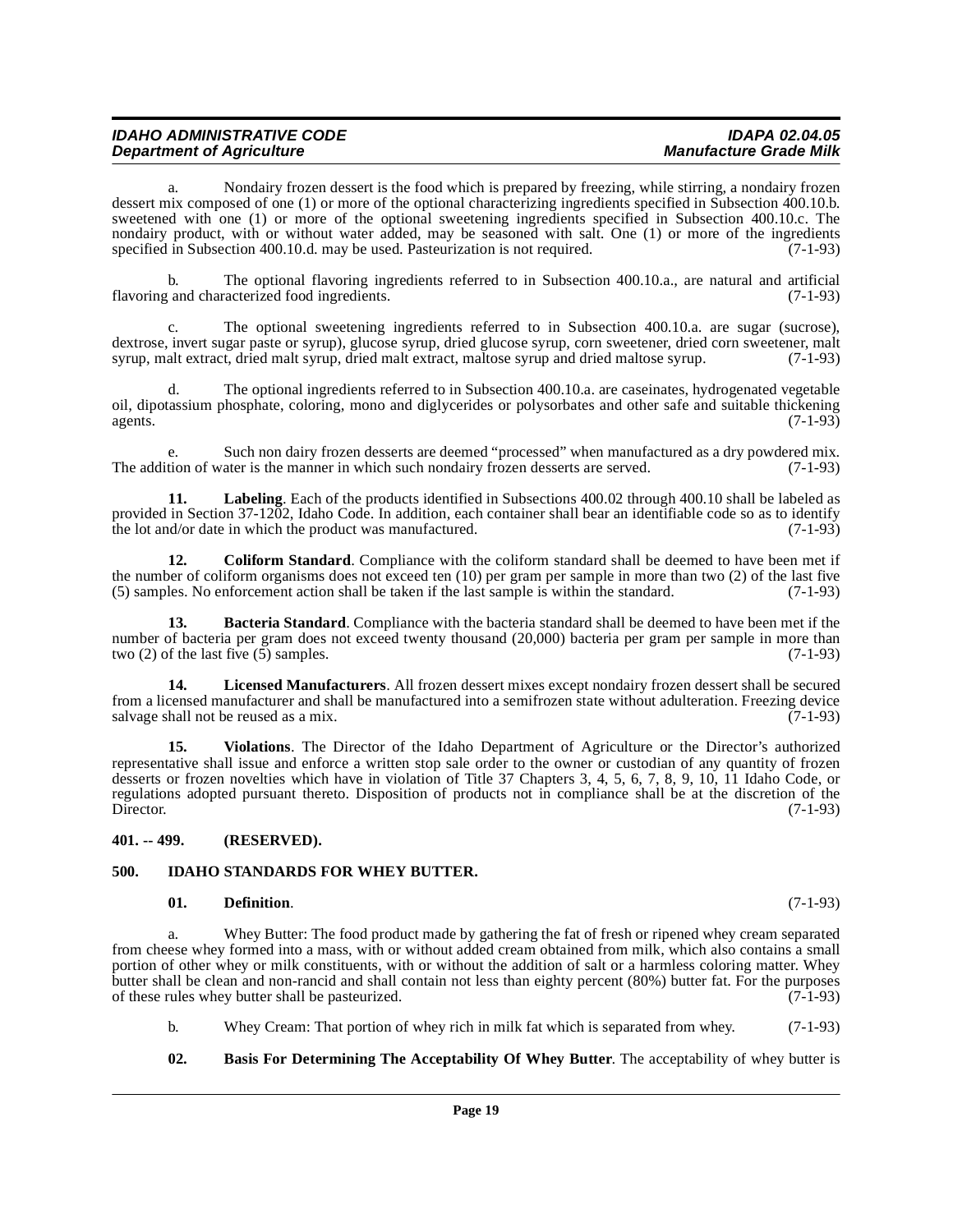| <b>IDAHO ADMINISTRATIVE CODE</b> | <b>IDAPA 02.04.05</b>         |
|----------------------------------|-------------------------------|
| <b>Department of Agriculture</b> | <b>Manufacture Grade Milk</b> |

a. Nondairy frozen dessert is the food which is prepared by freezing, while stirring, a nondairy frozen dessert mix composed of one (1) or more of the optional characterizing ingredients specified in Subsection 400.10.b. sweetened with one (1) or more of the optional sweetening ingredients specified in Subsection 400.10.c. The nondairy product, with or without water added, may be seasoned with salt. One (1) or more of the ingredients specified in Subsection 400.10.d. may be used. Pasteurization is not required. (7-1-93)

b. The optional flavoring ingredients referred to in Subsection 400.10.a., are natural and artificial flavoring and characterized food ingredients. (7-1-93)

The optional sweetening ingredients referred to in Subsection 400.10.a. are sugar (sucrose), dextrose, invert sugar paste or syrup), glucose syrup, dried glucose syrup, corn sweetener, dried corn sweetener, malt syrup, malt extract, dried malt extract, maltose syrup and dried maltose syrup. (7-1-93) syrup, malt extract, dried malt syrup, dried malt extract, maltose syrup and dried maltose syrup.

The optional ingredients referred to in Subsection 400.10.a. are caseinates, hydrogenated vegetable oil, dipotassium phosphate, coloring, mono and diglycerides or polysorbates and other safe and suitable thickening agents.  $(7-1-93)$ 

e. Such non dairy frozen desserts are deemed "processed" when manufactured as a dry powdered mix. The addition of water is the manner in which such nondairy frozen desserts are served. (7-1-93)

<span id="page-18-7"></span>**11. Labeling**. Each of the products identified in Subsections 400.02 through 400.10 shall be labeled as provided in Section 37-1202, Idaho Code. In addition, each container shall bear an identifiable code so as to identify the lot and/or date in which the product was manufactured.  $(7-1-93)$ the lot and/or date in which the product was manufactured.

<span id="page-18-4"></span>**12. Coliform Standard**. Compliance with the coliform standard shall be deemed to have been met if the number of coliform organisms does not exceed ten  $(10)$  per gram per sample in more than two  $(2)$  of the last five  $(5)$  samples. No enforcement action shall be taken if the last sample is within the standard.  $(7-1-$ (5) samples. No enforcement action shall be taken if the last sample is within the standard.

<span id="page-18-2"></span>**13. Bacteria Standard**. Compliance with the bacteria standard shall be deemed to have been met if the number of bacteria per gram does not exceed twenty thousand (20,000) bacteria per gram per sample in more than two (2) of the last five (5) samples. (7-1-93) two (2) of the last five  $(5)$  samples.

<span id="page-18-8"></span>**14. Licensed Manufacturers**. All frozen dessert mixes except nondairy frozen dessert shall be secured from a licensed manufacturer and shall be manufactured into a semifrozen state without adulteration. Freezing device salvage shall not be reused as a mix.

<span id="page-18-9"></span>**15. Violations**. The Director of the Idaho Department of Agriculture or the Director's authorized representative shall issue and enforce a written stop sale order to the owner or custodian of any quantity of frozen desserts or frozen novelties which have in violation of Title 37 Chapters 3, 4, 5, 6, 7, 8, 9, 10, 11 Idaho Code, or regulations adopted pursuant thereto. Disposition of products not in compliance shall be at the discretion of the Director. (7-1-93)

<span id="page-18-0"></span>**401. -- 499. (RESERVED).**

#### <span id="page-18-1"></span>**500. IDAHO STANDARDS FOR WHEY BUTTER.**

#### <span id="page-18-6"></span><span id="page-18-5"></span>**01. Definition**. (7-1-93)

a. Whey Butter: The food product made by gathering the fat of fresh or ripened whey cream separated from cheese whey formed into a mass, with or without added cream obtained from milk, which also contains a small portion of other whey or milk constituents, with or without the addition of salt or a harmless coloring matter. Whey butter shall be clean and non-rancid and shall contain not less than eighty percent (80%) butter fat. For the purposes of these rules whey butter shall be pasteurized. (7-1-93)

b. Whey Cream: That portion of whey rich in milk fat which is separated from whey. (7-1-93)

#### <span id="page-18-3"></span>**02. Basis For Determining The Acceptability Of Whey Butter**. The acceptability of whey butter is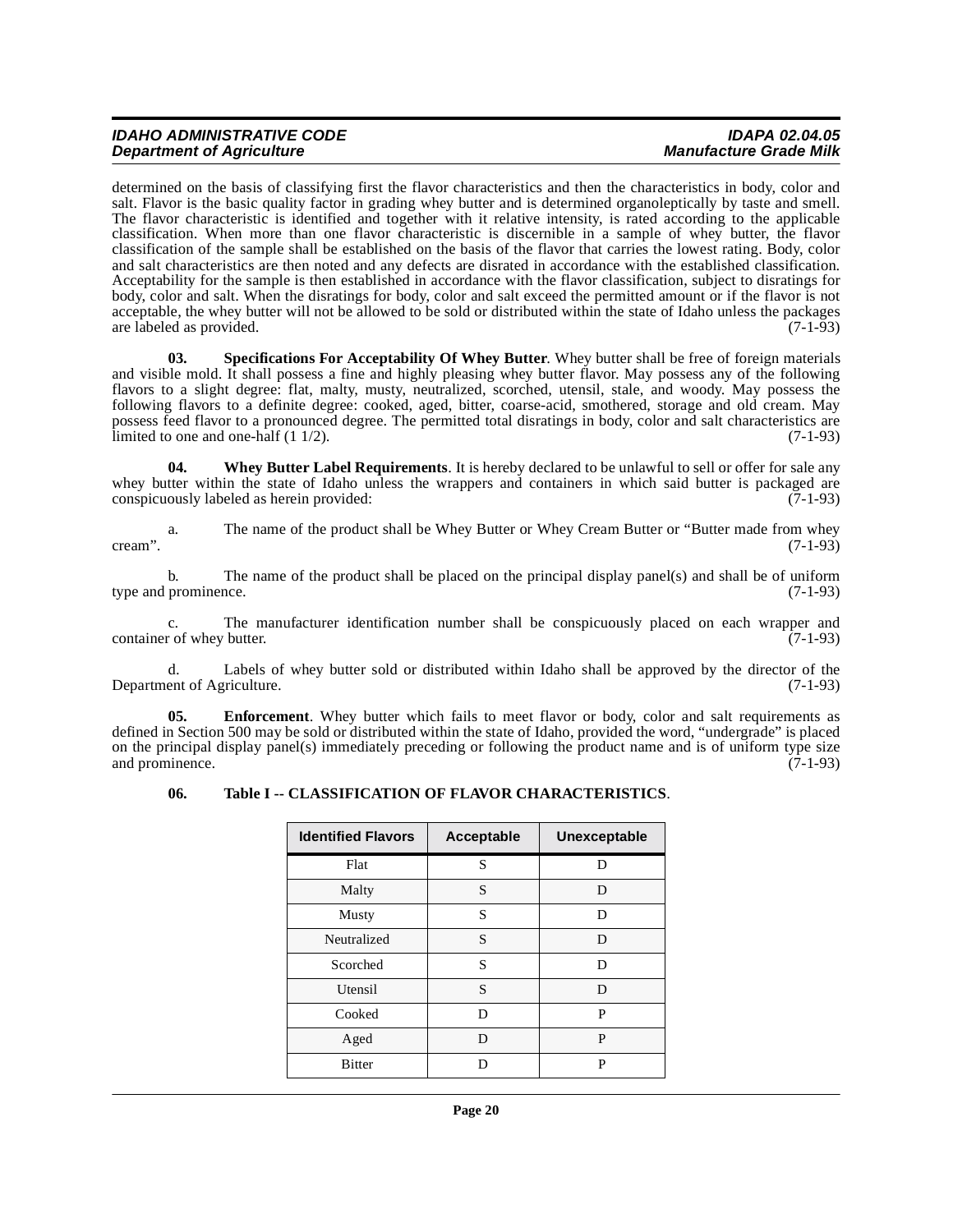determined on the basis of classifying first the flavor characteristics and then the characteristics in body, color and salt. Flavor is the basic quality factor in grading whey butter and is determined organoleptically by taste and smell. The flavor characteristic is identified and together with it relative intensity, is rated according to the applicable classification. When more than one flavor characteristic is discernible in a sample of whey butter, the flavor classification of the sample shall be established on the basis of the flavor that carries the lowest rating. Body, color and salt characteristics are then noted and any defects are disrated in accordance with the established classification. Acceptability for the sample is then established in accordance with the flavor classification, subject to disratings for body, color and salt. When the disratings for body, color and salt exceed the permitted amount or if the flavor is not acceptable, the whey butter will not be allowed to be sold or distributed within the state of Idaho unless the packages are labeled as provided. (7-1-93)

<span id="page-19-1"></span>**03. Specifications For Acceptability Of Whey Butter**. Whey butter shall be free of foreign materials and visible mold. It shall possess a fine and highly pleasing whey butter flavor. May possess any of the following flavors to a slight degree: flat, malty, musty, neutralized, scorched, utensil, stale, and woody. May possess the following flavors to a definite degree: cooked, aged, bitter, coarse-acid, smothered, storage and old cream. May possess feed flavor to a pronounced degree. The permitted total disratings in body, color and salt characteristics are limited to one and one-half  $(1\ 1/2)$ .  $(7-1-93)$ 

<span id="page-19-3"></span>**04. Whey Butter Label Requirements**. It is hereby declared to be unlawful to sell or offer for sale any whey butter within the state of Idaho unless the wrappers and containers in which said butter is packaged are conspicuously labeled as herein provided: (7-1-93) conspicuously labeled as herein provided:

a. The name of the product shall be Whey Butter or Whey Cream Butter or "Butter made from whey cream".  $(7-1-93)$ 

b. The name of the product shall be placed on the principal display panel(s) and shall be of uniform prominence. (7-1-93) type and prominence.

c. The manufacturer identification number shall be conspicuously placed on each wrapper and r of whey butter. (7-1-93) container of whey butter.

d. Labels of whey butter sold or distributed within Idaho shall be approved by the director of the Department of Agriculture.

**05. Enforcement**. Whey butter which fails to meet flavor or body, color and salt requirements as defined in Section 500 may be sold or distributed within the state of Idaho, provided the word, "undergrade" is placed on the principal display panel(s) immediately preceding or following the product name and is of uniform type size and prominence. (7-1-93)

#### <span id="page-19-2"></span><span id="page-19-0"></span>**06. Table I -- CLASSIFICATION OF FLAVOR CHARACTERISTICS**.

| <b>Identified Flavors</b> | Acceptable | Unexceptable |
|---------------------------|------------|--------------|
| Flat                      | S          | D            |
| Malty                     | S          | D            |
| Musty                     | S          | D            |
| Neutralized               | S          | D            |
| Scorched                  | S          | D            |
| Utensil                   | S          | D            |
| Cooked                    | D          | P            |
| Aged                      | D          | P            |
| <b>Bitter</b>             | D          | P            |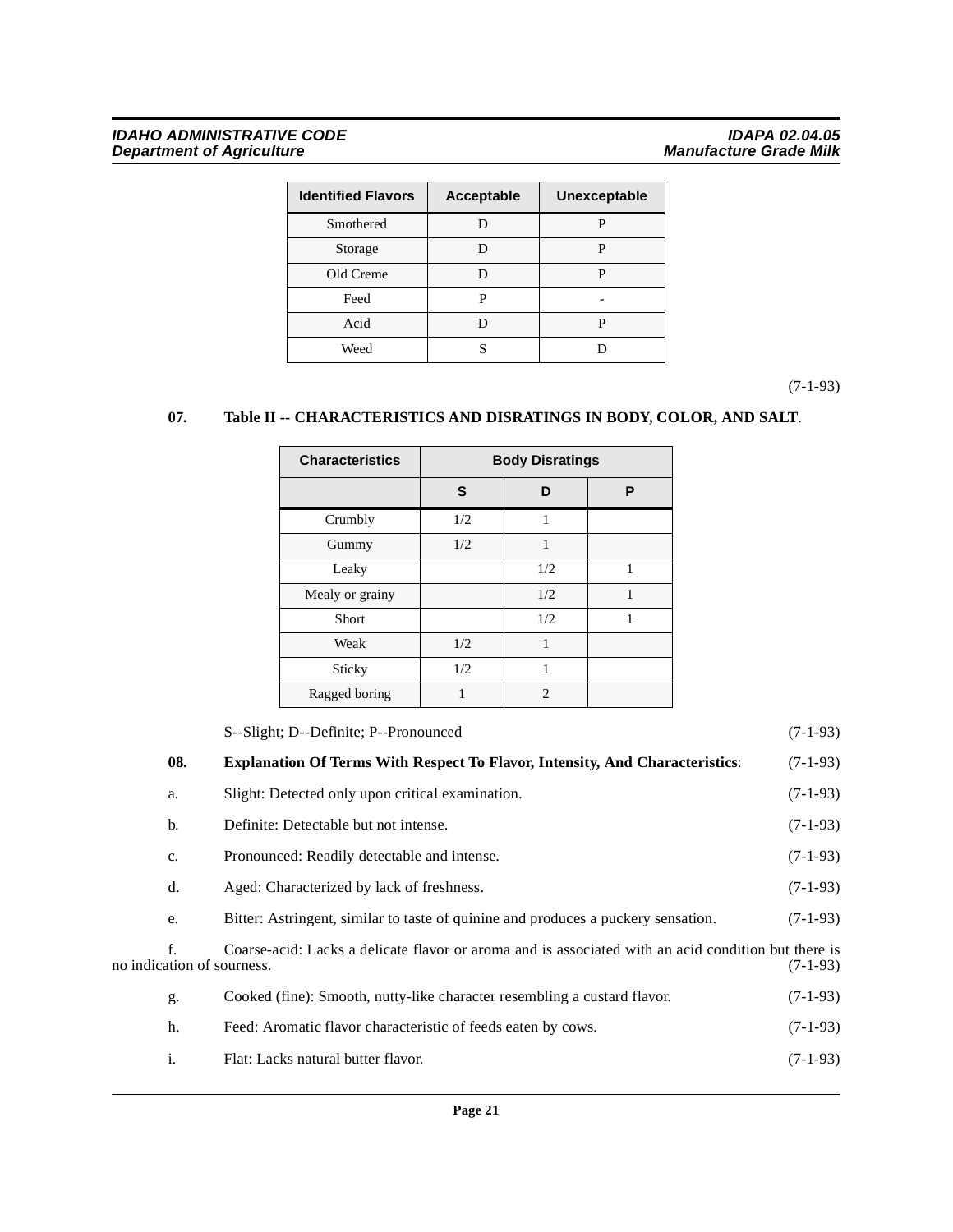#### **IDAHO ADMINISTRATIVE CODE IDAPA 02.04.05 Department of Agriculture Manufacture Grade Milk**

| <b>Identified Flavors</b> | Acceptable | Unexceptable |
|---------------------------|------------|--------------|
| Smothered                 |            |              |
| Storage                   |            |              |
| Old Creme                 |            | D            |
| Feed                      | р          |              |
| Acid                      |            | D            |
| Weed                      | S          |              |

(7-1-93)

### <span id="page-20-1"></span>**07. Table II -- CHARACTERISTICS AND DISRATINGS IN BODY, COLOR, AND SALT**.

| <b>Characteristics</b> | <b>Body Disratings</b> |                |   |
|------------------------|------------------------|----------------|---|
|                        | S                      | D              | Р |
| Crumbly                | 1/2                    | 1              |   |
| Gummy                  | 1/2                    | 1              |   |
| Leaky                  |                        | 1/2            | 1 |
| Mealy or grainy        |                        | 1/2            |   |
| Short                  |                        | 1/2            | 1 |
| Weak                   | 1/2                    |                |   |
| Sticky                 | 1/2                    | 1              |   |
| Ragged boring          |                        | $\overline{2}$ |   |

<span id="page-20-0"></span>

|                                           | S--Slight; D--Definite; P--Pronounced                                                               | $(7-1-93)$ |
|-------------------------------------------|-----------------------------------------------------------------------------------------------------|------------|
| 08.                                       | <b>Explanation Of Terms With Respect To Flavor, Intensity, And Characteristics:</b>                 | $(7-1-93)$ |
| a.                                        | Slight: Detected only upon critical examination.                                                    | $(7-1-93)$ |
| b.                                        | Definite: Detectable but not intense.                                                               | $(7-1-93)$ |
| c.                                        | Pronounced: Readily detectable and intense.                                                         | $(7-1-93)$ |
| d.                                        | Aged: Characterized by lack of freshness.                                                           | $(7-1-93)$ |
| e.                                        | Bitter: Astringent, similar to taste of quinine and produces a puckery sensation.                   | $(7-1-93)$ |
| $f_{\cdot}$<br>no indication of sourness. | Coarse-acid: Lacks a delicate flavor or aroma and is associated with an acid condition but there is | $(7-1-93)$ |
| g.                                        | Cooked (fine): Smooth, nutty-like character resembling a custard flavor.                            | $(7-1-93)$ |
| h.                                        | Feed: Aromatic flavor characteristic of feeds eaten by cows.                                        | $(7-1-93)$ |
| i.                                        | Flat: Lacks natural butter flavor.                                                                  | $(7-1-93)$ |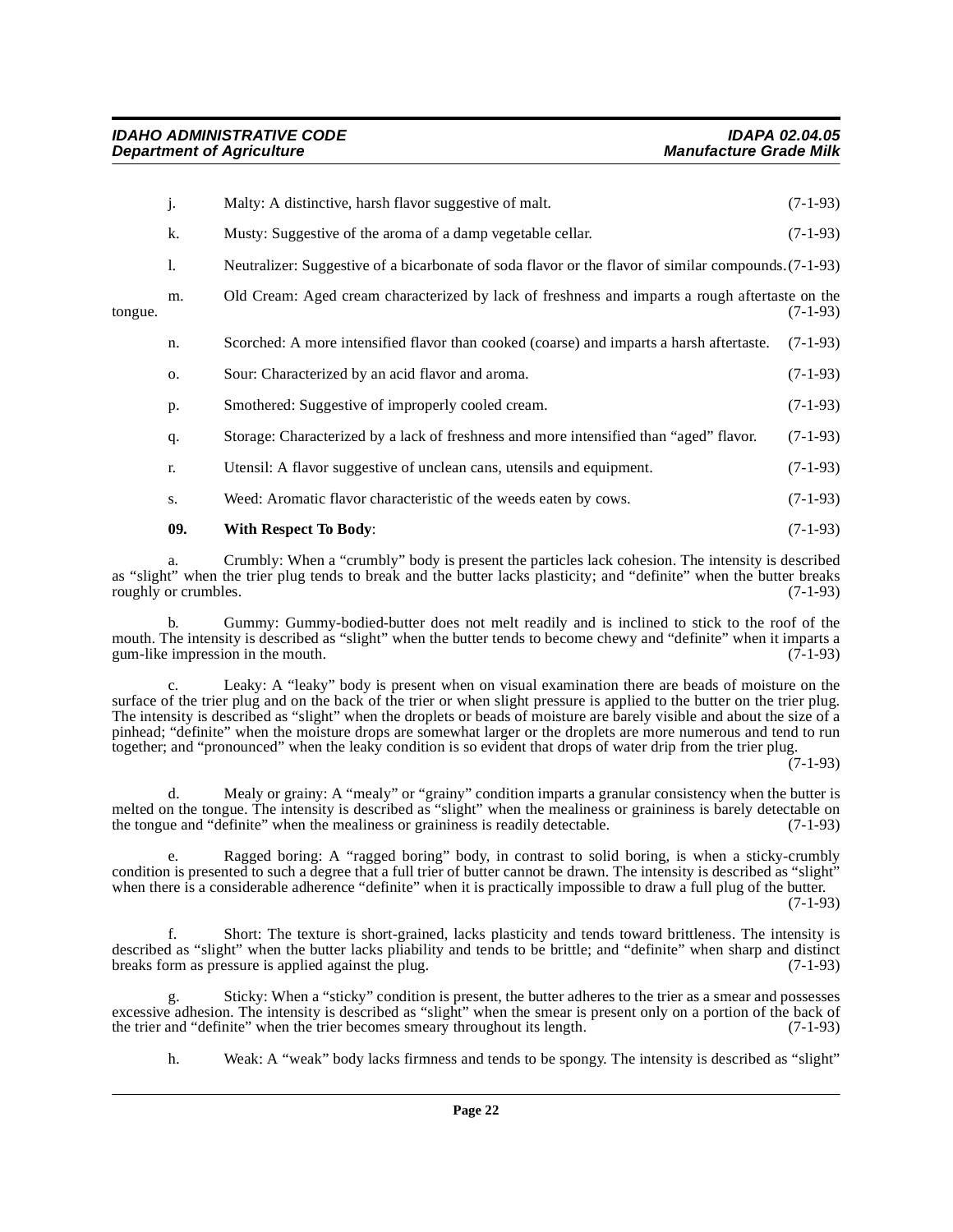|         | j.  | Malty: A distinctive, harsh flavor suggestive of malt.                                               | $(7-1-93)$ |  |
|---------|-----|------------------------------------------------------------------------------------------------------|------------|--|
|         | k.  | Musty: Suggestive of the aroma of a damp vegetable cellar.                                           | $(7-1-93)$ |  |
|         | 1.  | Neutralizer: Suggestive of a bicarbonate of soda flavor or the flavor of similar compounds. (7-1-93) |            |  |
| tongue. | m.  | Old Cream: Aged cream characterized by lack of freshness and imparts a rough aftertaste on the       | $(7-1-93)$ |  |
|         | n.  | Scorched: A more intensified flavor than cooked (coarse) and imparts a harsh aftertaste.             | $(7-1-93)$ |  |
|         | 0.  | Sour: Characterized by an acid flavor and aroma.                                                     | $(7-1-93)$ |  |
|         | p.  | Smothered: Suggestive of improperly cooled cream.                                                    | $(7-1-93)$ |  |
|         | q.  | Storage: Characterized by a lack of freshness and more intensified than "aged" flavor.               | $(7-1-93)$ |  |
|         | r.  | Utensil: A flavor suggestive of unclean cans, utensils and equipment.                                | $(7-1-93)$ |  |
|         | S.  | Weed: Aromatic flavor characteristic of the weeds eaten by cows.                                     | $(7-1-93)$ |  |
|         | 09. | <b>With Respect To Body:</b>                                                                         | $(7-1-93)$ |  |

<span id="page-21-0"></span>a. Crumbly: When a "crumbly" body is present the particles lack cohesion. The intensity is described as "slight" when the trier plug tends to break and the butter lacks plasticity; and "definite" when the butter breaks roughly or crumbles. (7-1-93) roughly or crumbles.

b. Gummy: Gummy-bodied-butter does not melt readily and is inclined to stick to the roof of the mouth. The intensity is described as "slight" when the butter tends to become chewy and "definite" when it imparts a gum-like impression in the mouth. (7-1-93) gum-like impression in the mouth.

Leaky: A "leaky" body is present when on visual examination there are beads of moisture on the surface of the trier plug and on the back of the trier or when slight pressure is applied to the butter on the trier plug. The intensity is described as "slight" when the droplets or beads of moisture are barely visible and about the size of a pinhead; "definite" when the moisture drops are somewhat larger or the droplets are more numerous and tend to run together; and "pronounced" when the leaky condition is so evident that drops of water drip from the trier plug.

(7-1-93)

d. Mealy or grainy: A "mealy" or "grainy" condition imparts a granular consistency when the butter is melted on the tongue. The intensity is described as "slight" when the mealiness or graininess is barely detectable on the tongue and "definite" when the mealiness or graininess is readily detectable. (7-1-93) the tongue and "definite" when the mealiness or graininess is readily detectable.

e. Ragged boring: A "ragged boring" body, in contrast to solid boring, is when a sticky-crumbly condition is presented to such a degree that a full trier of butter cannot be drawn. The intensity is described as "slight" when there is a considerable adherence "definite" when it is practically impossible to draw a full plug of the butter.

(7-1-93)

f. Short: The texture is short-grained, lacks plasticity and tends toward brittleness. The intensity is described as "slight" when the butter lacks pliability and tends to be brittle; and "definite" when sharp and distinct breaks form as pressure is applied against the plug. (7-1-93) breaks form as pressure is applied against the plug.

g. Sticky: When a "sticky" condition is present, the butter adheres to the trier as a smear and possesses excessive adhesion. The intensity is described as "slight" when the smear is present only on a portion of the back of the trier and "definite" when the trier becomes smeary throughout its length. (7-1-93) the trier and "definite" when the trier becomes smeary throughout its length.

h. Weak: A "weak" body lacks firmness and tends to be spongy. The intensity is described as "slight"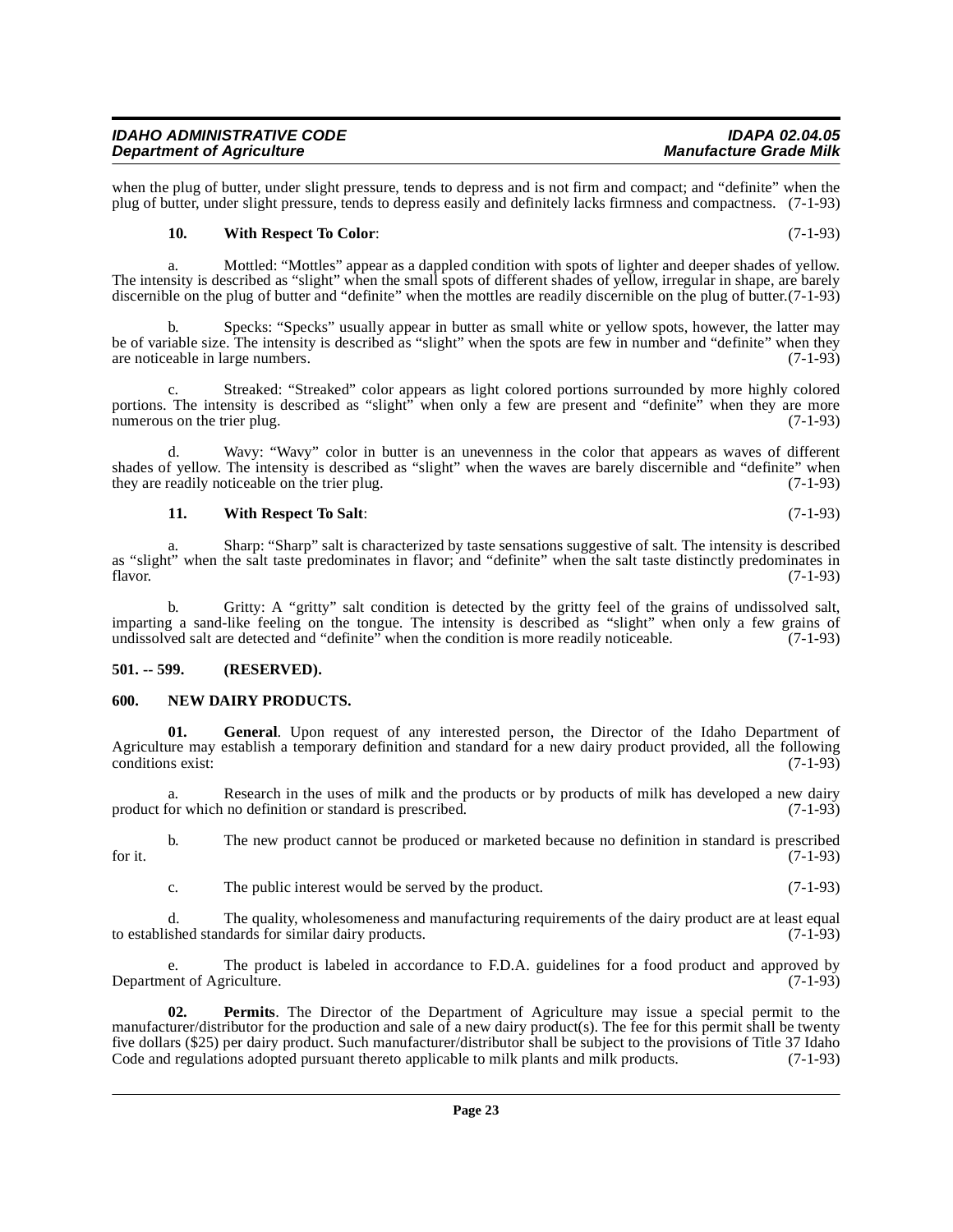#### **IDAHO ADMINISTRATIVE CODE IDAPA 02.04.05 Department of Agriculture**

when the plug of butter, under slight pressure, tends to depress and is not firm and compact; and "definite" when the plug of butter, under slight pressure, tends to depress easily and definitely lacks firmness and compactness. (7-1-93)

#### <span id="page-22-5"></span>**10. With Respect To Color**: (7-1-93)

a. Mottled: "Mottles" appear as a dappled condition with spots of lighter and deeper shades of yellow. The intensity is described as "slight" when the small spots of different shades of yellow, irregular in shape, are barely discernible on the plug of butter and "definite" when the mottles are readily discernible on the plug of butter.(7-1-93)

Specks: "Specks" usually appear in butter as small white or yellow spots, however, the latter may be of variable size. The intensity is described as "slight" when the spots are few in number and "definite" when they are noticeable in large numbers. (7-1-93) are noticeable in large numbers.

Streaked: "Streaked" color appears as light colored portions surrounded by more highly colored portions. The intensity is described as "slight" when only a few are present and "definite" when they are more numerous on the trier plug.  $(7-1-93)$ numerous on the trier plug.

d. Wavy: "Wavy" color in butter is an unevenness in the color that appears as waves of different shades of yellow. The intensity is described as "slight" when the waves are barely discernible and "definite" when they are readily noticeable on the trier plug. (7-1-93)

#### <span id="page-22-6"></span>**11. With Respect To Salt**: (7-1-93)

a. Sharp: "Sharp" salt is characterized by taste sensations suggestive of salt. The intensity is described as "slight" when the salt taste predominates in flavor; and "definite" when the salt taste distinctly predominates in flavor. (7-1-93) flavor. (7-1-93)

b. Gritty: A "gritty" salt condition is detected by the gritty feel of the grains of undissolved salt, imparting a sand-like feeling on the tongue. The intensity is described as "slight" when only a few grains of undissolved salt are detected and "definite" when the condition is more readily noticeable. (7-1-93)

#### <span id="page-22-0"></span>**501. -- 599. (RESERVED).**

#### <span id="page-22-3"></span><span id="page-22-1"></span>**600. NEW DAIRY PRODUCTS.**

<span id="page-22-2"></span>**01. General**. Upon request of any interested person, the Director of the Idaho Department of Agriculture may establish a temporary definition and standard for a new dairy product provided, all the following conditions exist: (7-1-93)

a. Research in the uses of milk and the products or by products of milk has developed a new dairy product for which no definition or standard is prescribed.  $(7-1-93)$ 

b. The new product cannot be produced or marketed because no definition in standard is prescribed for it.  $(7-1-93)$ 

c. The public interest would be served by the product. (7-1-93)

d. The quality, wholesomeness and manufacturing requirements of the dairy product are at least equal to established standards for similar dairy products. (7-1-93)

e. The product is labeled in accordance to F.D.A. guidelines for a food product and approved by Department of Agriculture. (7-1-93)

<span id="page-22-4"></span>**02. Permits**. The Director of the Department of Agriculture may issue a special permit to the manufacturer/distributor for the production and sale of a new dairy product(s). The fee for this permit shall be twenty five dollars (\$25) per dairy product. Such manufacturer/distributor shall be subject to the provisions of Title 37 Idaho Code and regulations adopted pursuant thereto applicable to milk plants and milk products.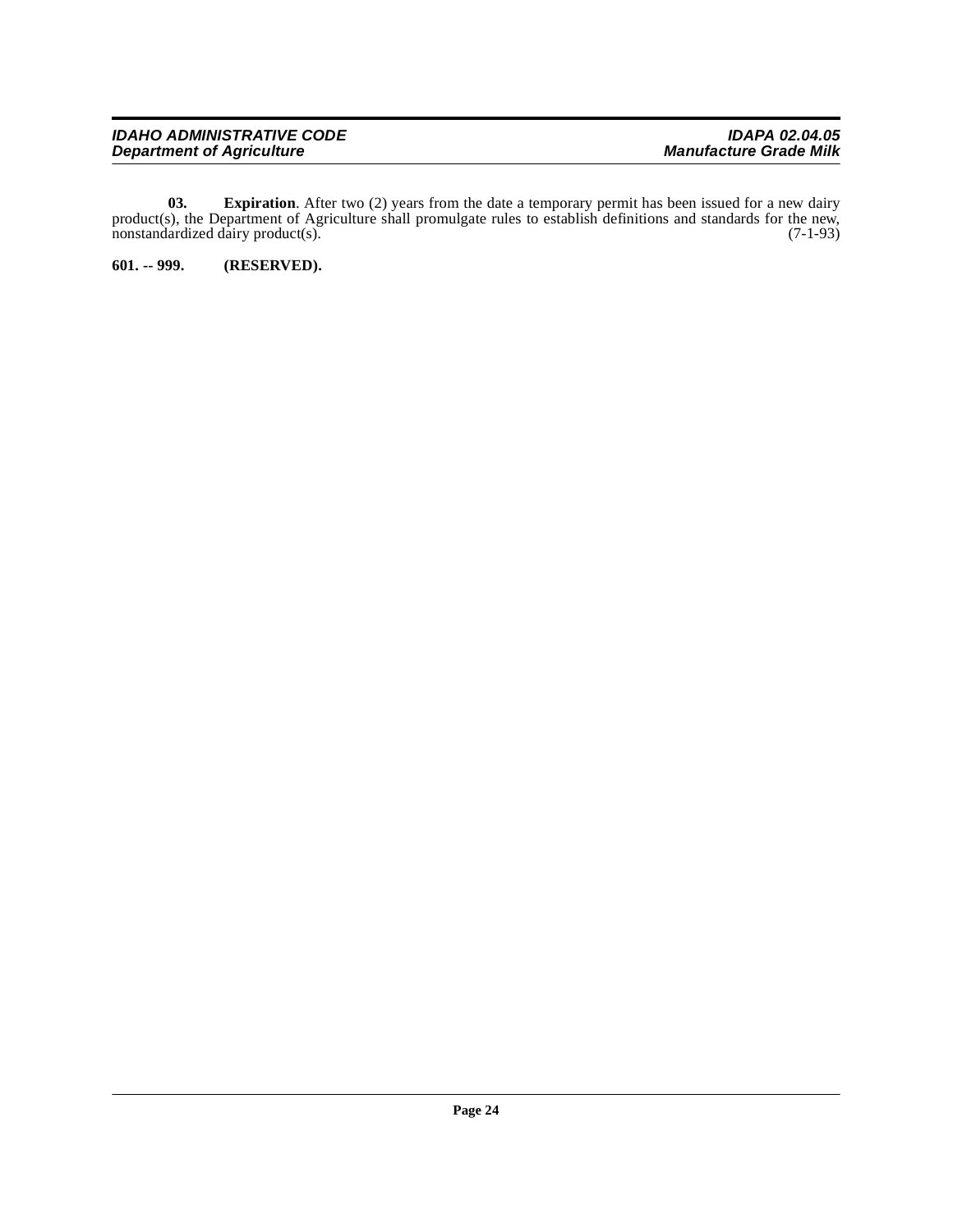<span id="page-23-1"></span>**03.** Expiration. After two (2) years from the date a temporary permit has been issued for a new dairy product(s), the Department of Agriculture shall promulgate rules to establish definitions and standards for the new, nonstandardized dairy product(s). (7-1-93)

<span id="page-23-0"></span>**601. -- 999. (RESERVED).**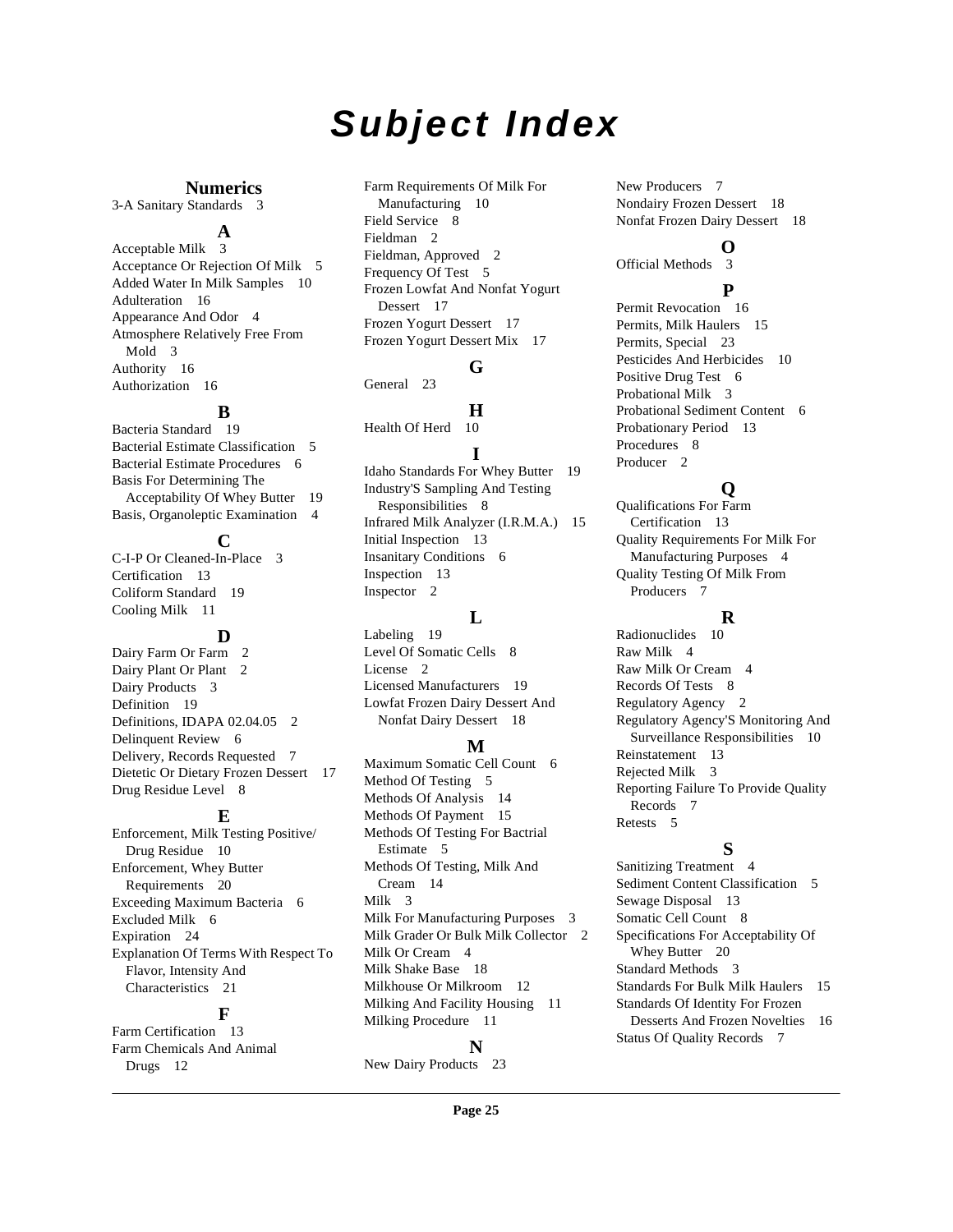# **Subject Index**

#### **Numerics**

3-A Sanitary Standards [3](#page-2-0)

### **A**

Acceptable Milk [3](#page-2-1) Acceptance Or Rejection Of Milk [5](#page-4-2) Added Water In Milk Samples [10](#page-9-5) Adulteration [16](#page-15-2) Appearance And Odor [4](#page-3-4) Atmosphere Relatively Free From Mold [3](#page-2-2) Authority [16](#page-15-3) Authorization [16](#page-15-4)

#### **B**

Bacteria Standard [19](#page-18-2) Bacterial Estimate Classification [5](#page-4-3) Bacterial Estimate Procedures [6](#page-5-4) Basis For Determining The Acceptability Of Whey Butter [19](#page-18-3) Basis, Organoleptic Examination [4](#page-3-5)

#### **C**

C-I-P Or Cleaned-In-Place [3](#page-2-3) Certification [13](#page-12-2) Coliform Standard [19](#page-18-4) Cooling Milk [11](#page-10-0)

#### **D**

Dairy Farm Or Farm [2](#page-1-6) Dairy Plant Or Plant [2](#page-1-7) Dairy Products [3](#page-2-4) Definition [19](#page-18-5) Definitions, IDAPA 02.04.05 [2](#page-1-8) Delinquent Review [6](#page-5-5) Delivery, Records Requested [7](#page-6-2) Dietetic Or Dietary Frozen Dessert [17](#page-16-0) Drug Residue Level [8](#page-7-5)

#### **E**

Enforcement, Milk Testing Positive/ Drug Residue [10](#page-9-6) Enforcement, Whey Butter Requirements [20](#page-19-0) Exceeding Maximum Bacteria [6](#page-5-6) Excluded Milk [6](#page-5-7) Expiration [24](#page-23-1) Explanation Of Terms With Respect To Flavor, Intensity And Characteristics [21](#page-20-0)

#### **F**

Farm Certification [13](#page-12-3) Farm Chemicals And Animal Drugs [12](#page-11-0)

Farm Requirements Of Milk For Manufacturing [10](#page-9-7) Field Service [8](#page-7-6) Fieldman [2](#page-1-9) Fieldman, Approved [2](#page-1-10) Frequency Of Test [5](#page-4-4) Frozen Lowfat And Nonfat Yogurt Dessert [17](#page-16-1) Frozen Yogurt Dessert [17](#page-16-2) Frozen Yogurt Dessert Mix [17](#page-16-3)

## **G**

 $\mathbf{H}$ <sub>10</sub> Health Of Herd

General [23](#page-22-2)

#### **I**

Idaho Standards For Whey Butter [19](#page-18-6) Industry'S Sampling And Testing Responsibilities [8](#page-7-7) Infrared Milk Analyzer (I.R.M.A.) [15](#page-14-2) Initial Inspection [13](#page-12-4) Insanitary Conditions [6](#page-5-8) Inspection [13](#page-12-5) Inspector [2](#page-1-11)

#### **L**

Labeling [19](#page-18-7) Level Of Somatic Cells [8](#page-7-8) License [2](#page-1-12) Licensed Manufacturers [19](#page-18-8) Lowfat Frozen Dairy Dessert And Nonfat Dairy Dessert [18](#page-17-0)

#### **M**

Maximum Somatic Cell Count [6](#page-5-9) Method Of Testing [5](#page-4-5) Methods Of Analysis [14](#page-13-2) Methods Of Payment [15](#page-14-3) Methods Of Testing For Bactrial Estimate [5](#page-4-6) Methods Of Testing, Milk And Cream [14](#page-13-3) Milk [3](#page-2-5) Milk For Manufacturing Purposes [3](#page-2-6) Milk Grader Or Bulk Milk Collector [2](#page-1-13) Milk Or Cream [4](#page-3-6) Milk Shake Base [18](#page-17-1) Milkhouse Or Milkroom [12](#page-11-1) Milking And Facility Housing [11](#page-10-1) Milking Procedure [11](#page-10-2)

#### **N**

New Dairy Products [23](#page-22-3)

New Producers [7](#page-6-3) Nondairy Frozen Dessert [18](#page-17-2) Nonfat Frozen Dairy Dessert [18](#page-17-3)

#### **O**

Official Methods [3](#page-2-7)

#### **P**

Permit Revocation [16](#page-15-5) Permits, Milk Haulers [15](#page-14-4) Permits, Special [23](#page-22-4) Pesticides And Herbicides [10](#page-9-9) Positive Drug Test [6](#page-5-10) Probational Milk [3](#page-2-8) Probational Sediment Content [6](#page-5-11) Probationary Period [13](#page-12-6) Procedures [8](#page-7-9) Producer<sub>[2](#page-1-14)</sub>

### **Q**

Qualifications For Farm Certification [13](#page-12-7) Quality Requirements For Milk For Manufacturing Purposes [4](#page-3-7) Quality Testing Of Milk From Producers [7](#page-6-4)

#### **R**

Radionuclides [10](#page-9-10) Raw Milk [4](#page-3-8) Raw Milk Or Cream [4](#page-3-9) Records Of Tests [8](#page-7-10) Regulatory Agency [2](#page-1-15) Regulatory Agency'S Monitoring And Surveillance Responsibilities [10](#page-9-11) Reinstatement [13](#page-12-8) Rejected Milk [3](#page-2-9) Reporting Failure To Provide Quality Records [7](#page-6-5) Retests [5](#page-4-7)

#### **S**

Sanitizing Treatment [4](#page-3-10) Sediment Content Classification [5](#page-4-8) Sewage Disposal [13](#page-12-9) Somatic Cell Count [8](#page-7-11) Specifications For Acceptability Of Whey Butter [20](#page-19-1) Standard Methods [3](#page-2-10) Standards For Bulk Milk Haulers [15](#page-14-5) Standards Of Identity For Frozen Desserts And Frozen Novelties [16](#page-15-6) Status Of Quality Records [7](#page-6-6)